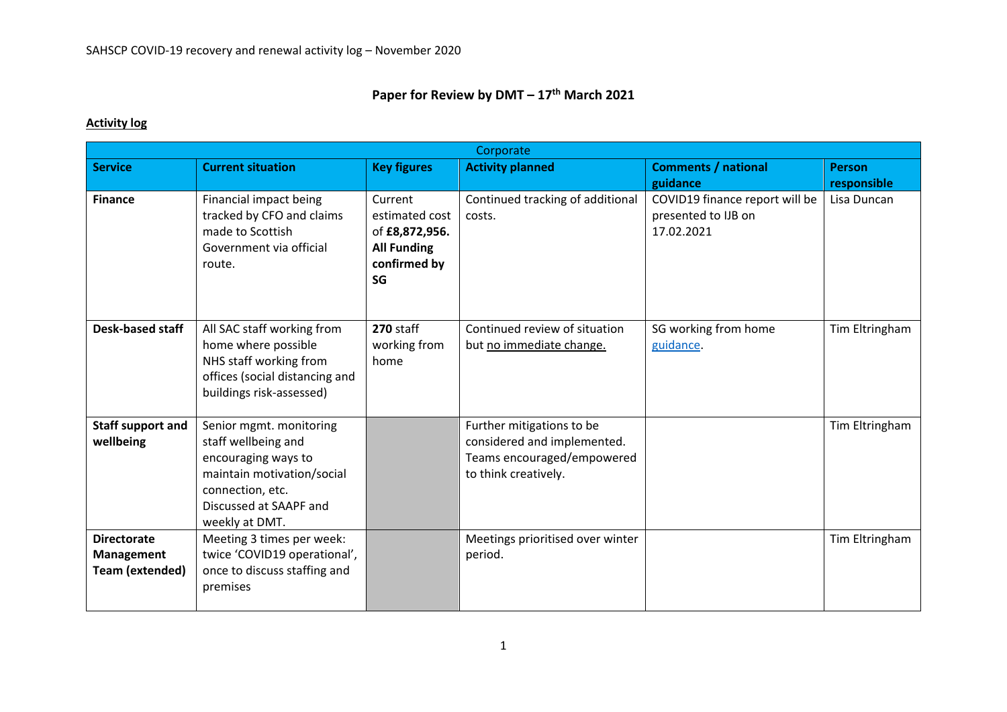## **Paper for Review by DMT – 17th March 2021**

## **Activity log**

| Corporate                                                  |                                                                                                                                                                     |                                                                                         |                                                                                                                |                                                                     |                |  |  |
|------------------------------------------------------------|---------------------------------------------------------------------------------------------------------------------------------------------------------------------|-----------------------------------------------------------------------------------------|----------------------------------------------------------------------------------------------------------------|---------------------------------------------------------------------|----------------|--|--|
| <b>Service</b>                                             | <b>Current situation</b>                                                                                                                                            | <b>Key figures</b>                                                                      | <b>Activity planned</b>                                                                                        | <b>Comments / national</b>                                          | <b>Person</b>  |  |  |
|                                                            |                                                                                                                                                                     |                                                                                         |                                                                                                                | guidance                                                            | responsible    |  |  |
| <b>Finance</b>                                             | Financial impact being<br>tracked by CFO and claims<br>made to Scottish<br>Government via official<br>route.                                                        | Current<br>estimated cost<br>of £8,872,956.<br><b>All Funding</b><br>confirmed by<br>SG | Continued tracking of additional<br>costs.                                                                     | COVID19 finance report will be<br>presented to IJB on<br>17.02.2021 | Lisa Duncan    |  |  |
| <b>Desk-based staff</b>                                    | All SAC staff working from<br>home where possible<br>NHS staff working from<br>offices (social distancing and<br>buildings risk-assessed)                           | 270 staff<br>working from<br>home                                                       | Continued review of situation<br>but no immediate change.                                                      | SG working from home<br>guidance.                                   | Tim Eltringham |  |  |
| <b>Staff support and</b><br>wellbeing                      | Senior mgmt. monitoring<br>staff wellbeing and<br>encouraging ways to<br>maintain motivation/social<br>connection, etc.<br>Discussed at SAAPF and<br>weekly at DMT. |                                                                                         | Further mitigations to be<br>considered and implemented.<br>Teams encouraged/empowered<br>to think creatively. |                                                                     | Tim Eltringham |  |  |
| <b>Directorate</b><br>Management<br><b>Team (extended)</b> | Meeting 3 times per week:<br>twice 'COVID19 operational',<br>once to discuss staffing and<br>premises                                                               |                                                                                         | Meetings prioritised over winter<br>period.                                                                    |                                                                     | Tim Eltringham |  |  |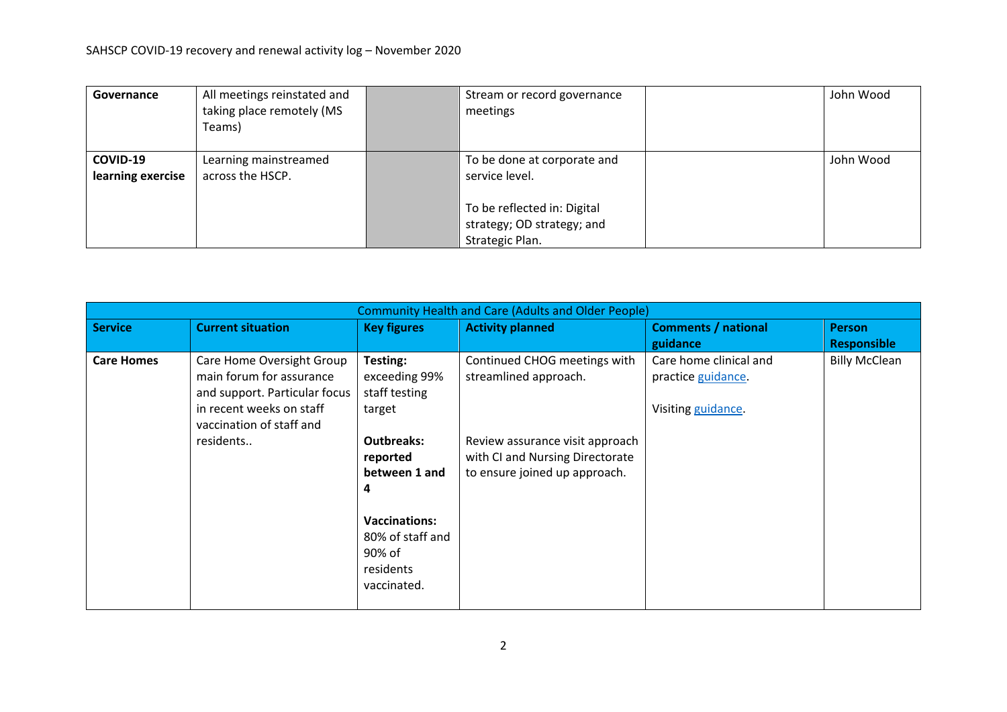| Governance                    | All meetings reinstated and<br>taking place remotely (MS<br>Teams) | Stream or record governance<br>meetings                                      | John Wood |
|-------------------------------|--------------------------------------------------------------------|------------------------------------------------------------------------------|-----------|
| COVID-19<br>learning exercise | Learning mainstreamed<br>across the HSCP.                          | To be done at corporate and<br>service level.                                | John Wood |
|                               |                                                                    | To be reflected in: Digital<br>strategy; OD strategy; and<br>Strategic Plan. |           |

| <b>Community Health and Care (Adults and Older People)</b> |                                                                                                                                                             |                                                                                                                                                                                               |                                                                                                                                                              |                                                                                |                                            |  |  |
|------------------------------------------------------------|-------------------------------------------------------------------------------------------------------------------------------------------------------------|-----------------------------------------------------------------------------------------------------------------------------------------------------------------------------------------------|--------------------------------------------------------------------------------------------------------------------------------------------------------------|--------------------------------------------------------------------------------|--------------------------------------------|--|--|
| <b>Service</b>                                             | <b>Current situation</b>                                                                                                                                    | <b>Key figures</b>                                                                                                                                                                            | <b>Activity planned</b>                                                                                                                                      | <b>Comments / national</b>                                                     | <b>Person</b>                              |  |  |
| <b>Care Homes</b>                                          | Care Home Oversight Group<br>main forum for assurance<br>and support. Particular focus<br>in recent weeks on staff<br>vaccination of staff and<br>residents | Testing:<br>exceeding 99%<br>staff testing<br>target<br><b>Outbreaks:</b><br>reported<br>between 1 and<br>4<br><b>Vaccinations:</b><br>80% of staff and<br>90% of<br>residents<br>vaccinated. | Continued CHOG meetings with<br>streamlined approach.<br>Review assurance visit approach<br>with CI and Nursing Directorate<br>to ensure joined up approach. | guidance<br>Care home clinical and<br>practice guidance.<br>Visiting guidance. | <b>Responsible</b><br><b>Billy McClean</b> |  |  |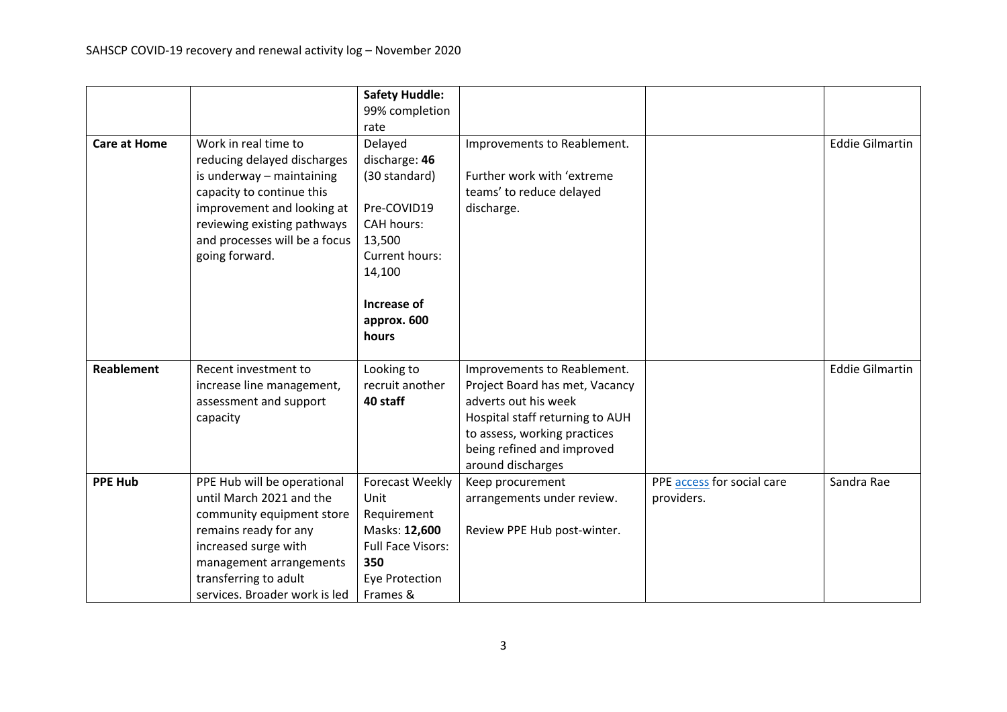|                     |                               | <b>Safety Huddle:</b>    |                                 |                            |                        |
|---------------------|-------------------------------|--------------------------|---------------------------------|----------------------------|------------------------|
|                     |                               | 99% completion           |                                 |                            |                        |
|                     |                               | rate                     |                                 |                            |                        |
| <b>Care at Home</b> | Work in real time to          | Delayed                  | Improvements to Reablement.     |                            | <b>Eddie Gilmartin</b> |
|                     | reducing delayed discharges   | discharge: 46            |                                 |                            |                        |
|                     | is underway - maintaining     | (30 standard)            | Further work with 'extreme      |                            |                        |
|                     | capacity to continue this     |                          | teams' to reduce delayed        |                            |                        |
|                     | improvement and looking at    | Pre-COVID19              | discharge.                      |                            |                        |
|                     | reviewing existing pathways   | <b>CAH hours:</b>        |                                 |                            |                        |
|                     | and processes will be a focus | 13,500                   |                                 |                            |                        |
|                     | going forward.                | Current hours:           |                                 |                            |                        |
|                     |                               | 14,100                   |                                 |                            |                        |
|                     |                               | Increase of              |                                 |                            |                        |
|                     |                               | approx. 600              |                                 |                            |                        |
|                     |                               | hours                    |                                 |                            |                        |
|                     |                               |                          |                                 |                            |                        |
| <b>Reablement</b>   | Recent investment to          | Looking to               | Improvements to Reablement.     |                            | <b>Eddie Gilmartin</b> |
|                     | increase line management,     | recruit another          | Project Board has met, Vacancy  |                            |                        |
|                     | assessment and support        | 40 staff                 | adverts out his week            |                            |                        |
|                     | capacity                      |                          | Hospital staff returning to AUH |                            |                        |
|                     |                               |                          | to assess, working practices    |                            |                        |
|                     |                               |                          | being refined and improved      |                            |                        |
|                     |                               |                          | around discharges               |                            |                        |
| <b>PPE Hub</b>      | PPE Hub will be operational   | Forecast Weekly          | Keep procurement                | PPE access for social care | Sandra Rae             |
|                     | until March 2021 and the      | Unit                     | arrangements under review.      | providers.                 |                        |
|                     | community equipment store     | Requirement              |                                 |                            |                        |
|                     | remains ready for any         | Masks: 12,600            | Review PPE Hub post-winter.     |                            |                        |
|                     | increased surge with          | <b>Full Face Visors:</b> |                                 |                            |                        |
|                     | management arrangements       | 350                      |                                 |                            |                        |
|                     | transferring to adult         | <b>Eye Protection</b>    |                                 |                            |                        |
|                     | services. Broader work is led | Frames &                 |                                 |                            |                        |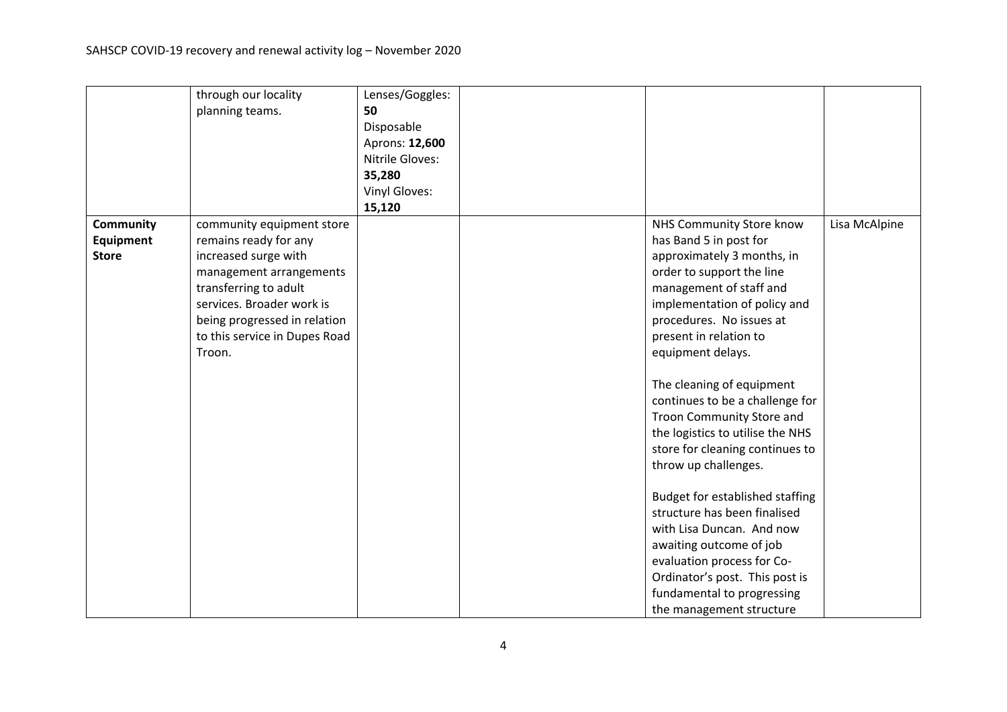|                  | through our locality          | Lenses/Goggles: |                                  |               |
|------------------|-------------------------------|-----------------|----------------------------------|---------------|
|                  | planning teams.               | 50              |                                  |               |
|                  |                               | Disposable      |                                  |               |
|                  |                               | Aprons: 12,600  |                                  |               |
|                  |                               | Nitrile Gloves: |                                  |               |
|                  |                               | 35,280          |                                  |               |
|                  |                               | Vinyl Gloves:   |                                  |               |
|                  |                               | 15,120          |                                  |               |
| <b>Community</b> | community equipment store     |                 | NHS Community Store know         | Lisa McAlpine |
| <b>Equipment</b> | remains ready for any         |                 | has Band 5 in post for           |               |
| <b>Store</b>     | increased surge with          |                 | approximately 3 months, in       |               |
|                  | management arrangements       |                 | order to support the line        |               |
|                  | transferring to adult         |                 | management of staff and          |               |
|                  | services. Broader work is     |                 | implementation of policy and     |               |
|                  | being progressed in relation  |                 | procedures. No issues at         |               |
|                  | to this service in Dupes Road |                 | present in relation to           |               |
|                  | Troon.                        |                 | equipment delays.                |               |
|                  |                               |                 |                                  |               |
|                  |                               |                 | The cleaning of equipment        |               |
|                  |                               |                 | continues to be a challenge for  |               |
|                  |                               |                 | Troon Community Store and        |               |
|                  |                               |                 | the logistics to utilise the NHS |               |
|                  |                               |                 | store for cleaning continues to  |               |
|                  |                               |                 | throw up challenges.             |               |
|                  |                               |                 |                                  |               |
|                  |                               |                 | Budget for established staffing  |               |
|                  |                               |                 | structure has been finalised     |               |
|                  |                               |                 | with Lisa Duncan. And now        |               |
|                  |                               |                 | awaiting outcome of job          |               |
|                  |                               |                 | evaluation process for Co-       |               |
|                  |                               |                 | Ordinator's post. This post is   |               |
|                  |                               |                 | fundamental to progressing       |               |
|                  |                               |                 | the management structure         |               |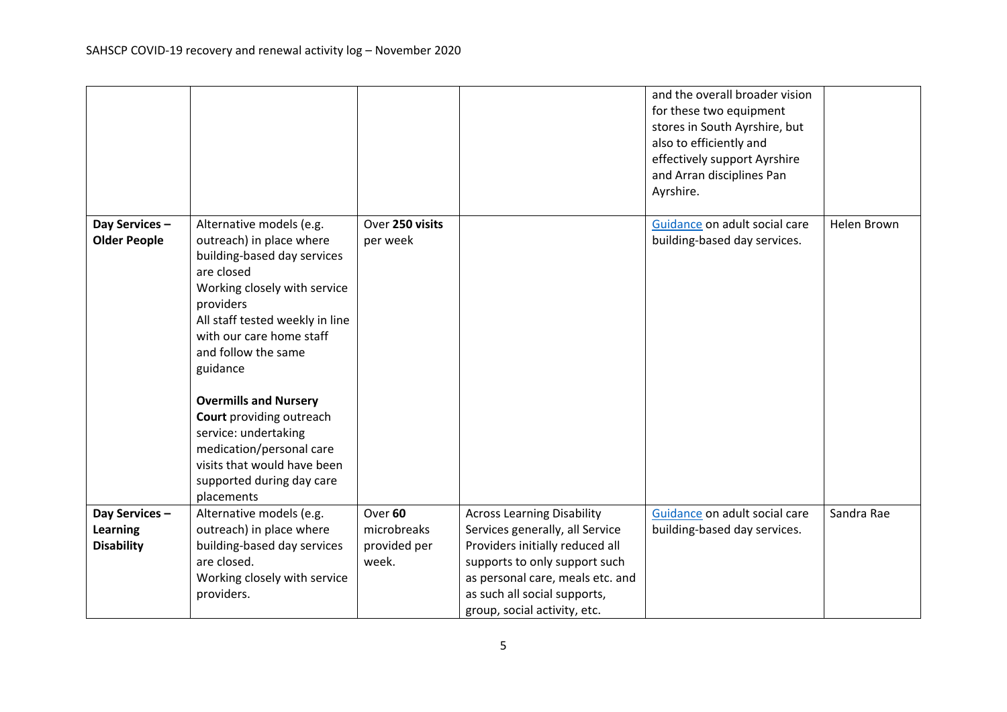|                                                |                                                                                                                                                                                                                                                                                                                                                                  |                                                 |                                                                                                                                                                                                                                              | and the overall broader vision<br>for these two equipment<br>stores in South Ayrshire, but<br>also to efficiently and<br>effectively support Ayrshire<br>and Arran disciplines Pan<br>Ayrshire. |             |
|------------------------------------------------|------------------------------------------------------------------------------------------------------------------------------------------------------------------------------------------------------------------------------------------------------------------------------------------------------------------------------------------------------------------|-------------------------------------------------|----------------------------------------------------------------------------------------------------------------------------------------------------------------------------------------------------------------------------------------------|-------------------------------------------------------------------------------------------------------------------------------------------------------------------------------------------------|-------------|
| Day Services-<br><b>Older People</b>           | Alternative models (e.g.<br>outreach) in place where<br>building-based day services<br>are closed<br>Working closely with service<br>providers<br>All staff tested weekly in line<br>with our care home staff<br>and follow the same<br>guidance<br><b>Overmills and Nursery</b><br>Court providing outreach<br>service: undertaking<br>medication/personal care | Over 250 visits<br>per week                     |                                                                                                                                                                                                                                              | Guidance on adult social care<br>building-based day services.                                                                                                                                   | Helen Brown |
|                                                | visits that would have been<br>supported during day care<br>placements                                                                                                                                                                                                                                                                                           |                                                 |                                                                                                                                                                                                                                              |                                                                                                                                                                                                 |             |
| Day Services-<br>Learning<br><b>Disability</b> | Alternative models (e.g.<br>outreach) in place where<br>building-based day services<br>are closed.<br>Working closely with service<br>providers.                                                                                                                                                                                                                 | Over 60<br>microbreaks<br>provided per<br>week. | <b>Across Learning Disability</b><br>Services generally, all Service<br>Providers initially reduced all<br>supports to only support such<br>as personal care, meals etc. and<br>as such all social supports,<br>group, social activity, etc. | Guidance on adult social care<br>building-based day services.                                                                                                                                   | Sandra Rae  |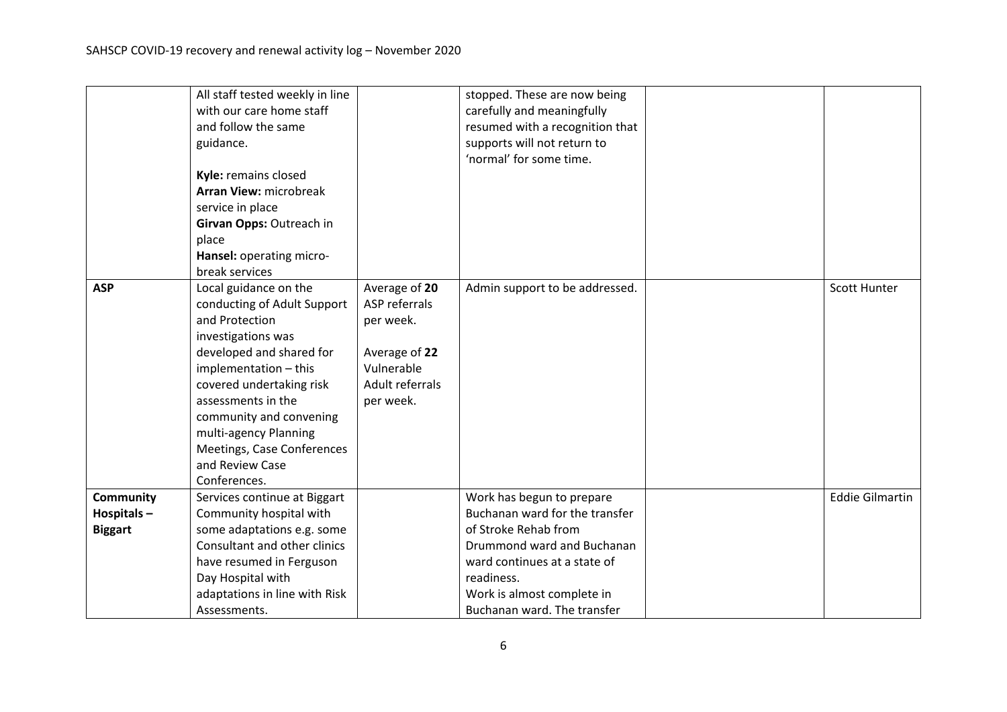|                | All staff tested weekly in line |                 | stopped. These are now being    |                        |
|----------------|---------------------------------|-----------------|---------------------------------|------------------------|
|                | with our care home staff        |                 | carefully and meaningfully      |                        |
|                | and follow the same             |                 | resumed with a recognition that |                        |
|                | guidance.                       |                 | supports will not return to     |                        |
|                |                                 |                 | 'normal' for some time.         |                        |
|                | Kyle: remains closed            |                 |                                 |                        |
|                | Arran View: microbreak          |                 |                                 |                        |
|                | service in place                |                 |                                 |                        |
|                | Girvan Opps: Outreach in        |                 |                                 |                        |
|                | place                           |                 |                                 |                        |
|                | Hansel: operating micro-        |                 |                                 |                        |
|                | break services                  |                 |                                 |                        |
| <b>ASP</b>     | Local guidance on the           | Average of 20   | Admin support to be addressed.  | <b>Scott Hunter</b>    |
|                | conducting of Adult Support     | ASP referrals   |                                 |                        |
|                | and Protection                  | per week.       |                                 |                        |
|                | investigations was              |                 |                                 |                        |
|                | developed and shared for        | Average of 22   |                                 |                        |
|                | implementation - this           | Vulnerable      |                                 |                        |
|                | covered undertaking risk        | Adult referrals |                                 |                        |
|                | assessments in the              | per week.       |                                 |                        |
|                | community and convening         |                 |                                 |                        |
|                | multi-agency Planning           |                 |                                 |                        |
|                | Meetings, Case Conferences      |                 |                                 |                        |
|                | and Review Case                 |                 |                                 |                        |
|                | Conferences.                    |                 |                                 |                        |
| Community      | Services continue at Biggart    |                 | Work has begun to prepare       | <b>Eddie Gilmartin</b> |
| Hospitals-     | Community hospital with         |                 | Buchanan ward for the transfer  |                        |
| <b>Biggart</b> | some adaptations e.g. some      |                 | of Stroke Rehab from            |                        |
|                | Consultant and other clinics    |                 | Drummond ward and Buchanan      |                        |
|                | have resumed in Ferguson        |                 | ward continues at a state of    |                        |
|                | Day Hospital with               |                 | readiness.                      |                        |
|                | adaptations in line with Risk   |                 | Work is almost complete in      |                        |
|                | Assessments.                    |                 | Buchanan ward. The transfer     |                        |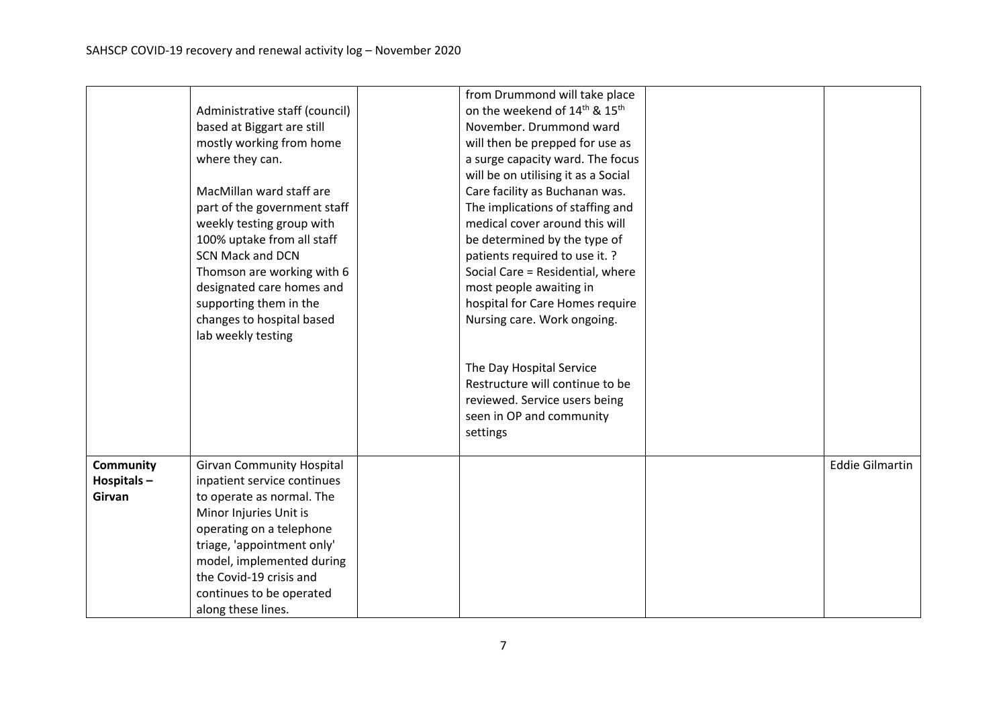|                  |                                  | from Drummond will take place                         |                        |
|------------------|----------------------------------|-------------------------------------------------------|------------------------|
|                  | Administrative staff (council)   | on the weekend of 14 <sup>th</sup> & 15 <sup>th</sup> |                        |
|                  | based at Biggart are still       | November. Drummond ward                               |                        |
|                  | mostly working from home         | will then be prepped for use as                       |                        |
|                  | where they can.                  | a surge capacity ward. The focus                      |                        |
|                  |                                  | will be on utilising it as a Social                   |                        |
|                  | MacMillan ward staff are         | Care facility as Buchanan was.                        |                        |
|                  | part of the government staff     | The implications of staffing and                      |                        |
|                  | weekly testing group with        | medical cover around this will                        |                        |
|                  | 100% uptake from all staff       | be determined by the type of                          |                        |
|                  | <b>SCN Mack and DCN</b>          | patients required to use it. ?                        |                        |
|                  | Thomson are working with 6       | Social Care = Residential, where                      |                        |
|                  | designated care homes and        | most people awaiting in                               |                        |
|                  | supporting them in the           | hospital for Care Homes require                       |                        |
|                  | changes to hospital based        | Nursing care. Work ongoing.                           |                        |
|                  | lab weekly testing               |                                                       |                        |
|                  |                                  |                                                       |                        |
|                  |                                  | The Day Hospital Service                              |                        |
|                  |                                  | Restructure will continue to be                       |                        |
|                  |                                  | reviewed. Service users being                         |                        |
|                  |                                  | seen in OP and community                              |                        |
|                  |                                  | settings                                              |                        |
|                  |                                  |                                                       |                        |
| <b>Community</b> | <b>Girvan Community Hospital</b> |                                                       | <b>Eddie Gilmartin</b> |
| Hospitals-       | inpatient service continues      |                                                       |                        |
| Girvan           | to operate as normal. The        |                                                       |                        |
|                  | Minor Injuries Unit is           |                                                       |                        |
|                  | operating on a telephone         |                                                       |                        |
|                  | triage, 'appointment only'       |                                                       |                        |
|                  | model, implemented during        |                                                       |                        |
|                  | the Covid-19 crisis and          |                                                       |                        |
|                  | continues to be operated         |                                                       |                        |
|                  | along these lines.               |                                                       |                        |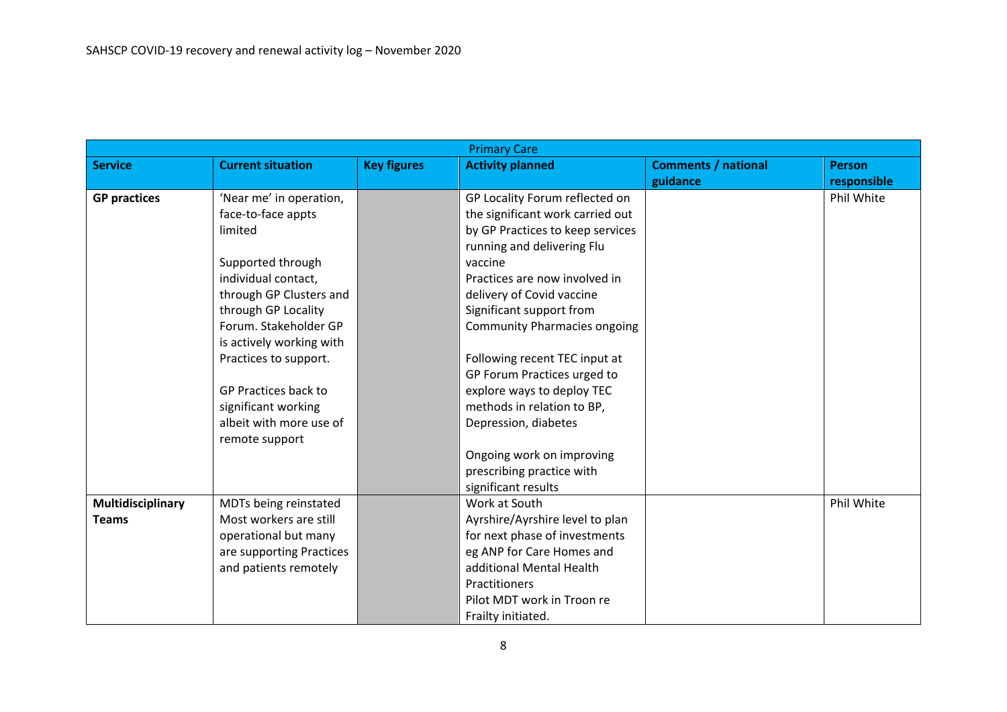|                     | <b>Primary Care</b>      |                    |                                     |                            |               |  |
|---------------------|--------------------------|--------------------|-------------------------------------|----------------------------|---------------|--|
| <b>Service</b>      | <b>Current situation</b> | <b>Key figures</b> | <b>Activity planned</b>             | <b>Comments / national</b> | <b>Person</b> |  |
|                     |                          |                    |                                     | guidance                   | responsible   |  |
| <b>GP practices</b> | 'Near me' in operation,  |                    | GP Locality Forum reflected on      |                            | Phil White    |  |
|                     | face-to-face appts       |                    | the significant work carried out    |                            |               |  |
|                     | limited                  |                    | by GP Practices to keep services    |                            |               |  |
|                     |                          |                    | running and delivering Flu          |                            |               |  |
|                     | Supported through        |                    | vaccine                             |                            |               |  |
|                     | individual contact,      |                    | Practices are now involved in       |                            |               |  |
|                     | through GP Clusters and  |                    | delivery of Covid vaccine           |                            |               |  |
|                     | through GP Locality      |                    | Significant support from            |                            |               |  |
|                     | Forum. Stakeholder GP    |                    | <b>Community Pharmacies ongoing</b> |                            |               |  |
|                     | is actively working with |                    |                                     |                            |               |  |
|                     | Practices to support.    |                    | Following recent TEC input at       |                            |               |  |
|                     |                          |                    | GP Forum Practices urged to         |                            |               |  |
|                     | GP Practices back to     |                    | explore ways to deploy TEC          |                            |               |  |
|                     | significant working      |                    | methods in relation to BP,          |                            |               |  |
|                     | albeit with more use of  |                    | Depression, diabetes                |                            |               |  |
|                     | remote support           |                    |                                     |                            |               |  |
|                     |                          |                    | Ongoing work on improving           |                            |               |  |
|                     |                          |                    | prescribing practice with           |                            |               |  |
|                     |                          |                    | significant results                 |                            |               |  |
| Multidisciplinary   | MDTs being reinstated    |                    | Work at South                       |                            | Phil White    |  |
| <b>Teams</b>        | Most workers are still   |                    | Ayrshire/Ayrshire level to plan     |                            |               |  |
|                     | operational but many     |                    | for next phase of investments       |                            |               |  |
|                     | are supporting Practices |                    | eg ANP for Care Homes and           |                            |               |  |
|                     | and patients remotely    |                    | additional Mental Health            |                            |               |  |
|                     |                          |                    | Practitioners                       |                            |               |  |
|                     |                          |                    | Pilot MDT work in Troon re          |                            |               |  |
|                     |                          |                    | Frailty initiated.                  |                            |               |  |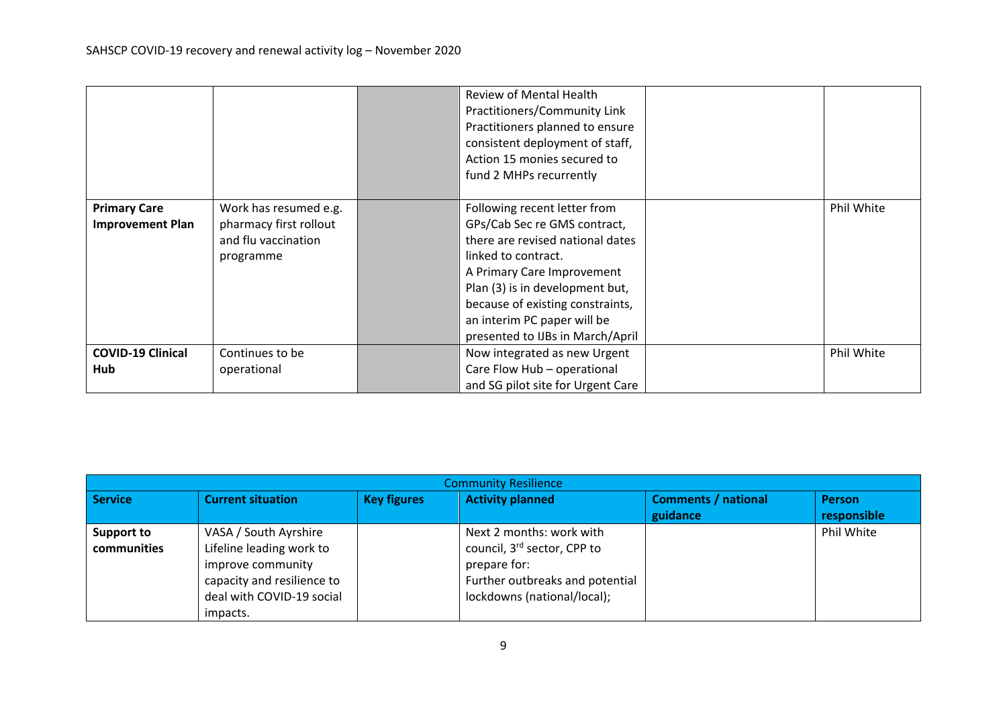|                                                |                                                                                     | Review of Mental Health<br>Practitioners/Community Link<br>Practitioners planned to ensure<br>consistent deployment of staff,<br>Action 15 monies secured to<br>fund 2 MHPs recurrently                                                                                                         |            |
|------------------------------------------------|-------------------------------------------------------------------------------------|-------------------------------------------------------------------------------------------------------------------------------------------------------------------------------------------------------------------------------------------------------------------------------------------------|------------|
| <b>Primary Care</b><br><b>Improvement Plan</b> | Work has resumed e.g.<br>pharmacy first rollout<br>and flu vaccination<br>programme | Following recent letter from<br>GPs/Cab Sec re GMS contract,<br>there are revised national dates<br>linked to contract.<br>A Primary Care Improvement<br>Plan (3) is in development but,<br>because of existing constraints,<br>an interim PC paper will be<br>presented to IJBs in March/April | Phil White |
| <b>COVID-19 Clinical</b><br>Hub                | Continues to be<br>operational                                                      | Now integrated as new Urgent<br>Care Flow Hub - operational<br>and SG pilot site for Urgent Care                                                                                                                                                                                                | Phil White |

| <b>Community Resilience</b>      |                                                                                                                                               |                    |                                                                                                                                                       |                                        |                              |  |  |  |
|----------------------------------|-----------------------------------------------------------------------------------------------------------------------------------------------|--------------------|-------------------------------------------------------------------------------------------------------------------------------------------------------|----------------------------------------|------------------------------|--|--|--|
| <b>Service</b>                   | <b>Current situation</b>                                                                                                                      | <b>Key figures</b> | <b>Activity planned</b>                                                                                                                               | <b>Comments / national</b><br>guidance | <b>Person</b><br>responsible |  |  |  |
| <b>Support to</b><br>communities | VASA / South Ayrshire<br>Lifeline leading work to<br>improve community<br>capacity and resilience to<br>deal with COVID-19 social<br>impacts. |                    | Next 2 months: work with<br>council, 3 <sup>rd</sup> sector, CPP to<br>prepare for:<br>Further outbreaks and potential<br>lockdowns (national/local); |                                        | Phil White                   |  |  |  |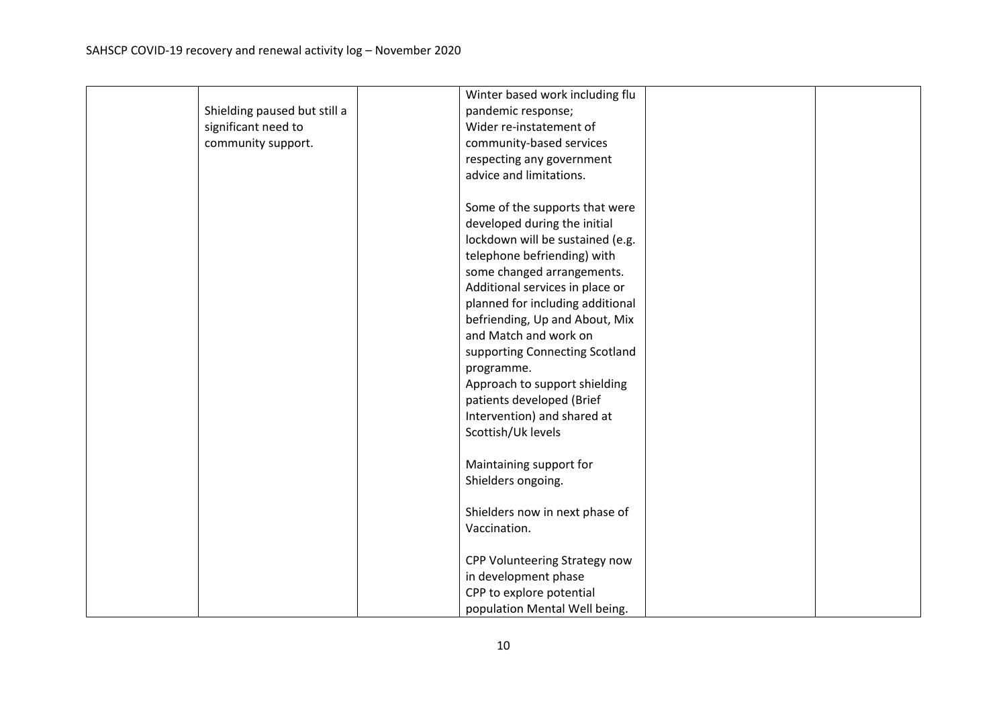|                              | Winter based work including flu  |  |
|------------------------------|----------------------------------|--|
| Shielding paused but still a | pandemic response;               |  |
| significant need to          | Wider re-instatement of          |  |
| community support.           | community-based services         |  |
|                              |                                  |  |
|                              | respecting any government        |  |
|                              | advice and limitations.          |  |
|                              | Some of the supports that were   |  |
|                              | developed during the initial     |  |
|                              | lockdown will be sustained (e.g. |  |
|                              | telephone befriending) with      |  |
|                              | some changed arrangements.       |  |
|                              | Additional services in place or  |  |
|                              | planned for including additional |  |
|                              |                                  |  |
|                              | befriending, Up and About, Mix   |  |
|                              | and Match and work on            |  |
|                              | supporting Connecting Scotland   |  |
|                              | programme.                       |  |
|                              | Approach to support shielding    |  |
|                              | patients developed (Brief        |  |
|                              | Intervention) and shared at      |  |
|                              | Scottish/Uk levels               |  |
|                              | Maintaining support for          |  |
|                              | Shielders ongoing.               |  |
|                              |                                  |  |
|                              | Shielders now in next phase of   |  |
|                              | Vaccination.                     |  |
|                              |                                  |  |
|                              | CPP Volunteering Strategy now    |  |
|                              | in development phase             |  |
|                              | CPP to explore potential         |  |
|                              | population Mental Well being.    |  |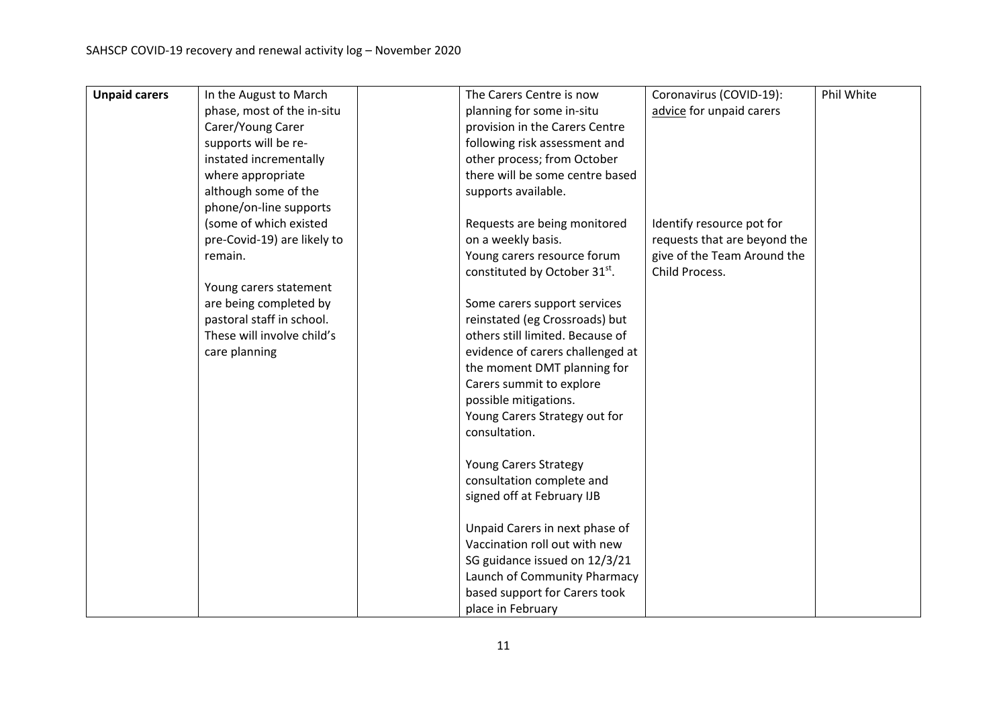| <b>Unpaid carers</b> | In the August to March      | The Carers Centre is now         | Coronavirus (COVID-19):      | Phil White |
|----------------------|-----------------------------|----------------------------------|------------------------------|------------|
|                      | phase, most of the in-situ  | planning for some in-situ        | advice for unpaid carers     |            |
|                      | Carer/Young Carer           | provision in the Carers Centre   |                              |            |
|                      | supports will be re-        | following risk assessment and    |                              |            |
|                      | instated incrementally      | other process; from October      |                              |            |
|                      | where appropriate           | there will be some centre based  |                              |            |
|                      | although some of the        | supports available.              |                              |            |
|                      | phone/on-line supports      |                                  |                              |            |
|                      | (some of which existed      | Requests are being monitored     | Identify resource pot for    |            |
|                      | pre-Covid-19) are likely to | on a weekly basis.               | requests that are beyond the |            |
|                      | remain.                     | Young carers resource forum      | give of the Team Around the  |            |
|                      |                             | constituted by October 31st.     | Child Process.               |            |
|                      | Young carers statement      |                                  |                              |            |
|                      | are being completed by      | Some carers support services     |                              |            |
|                      | pastoral staff in school.   | reinstated (eg Crossroads) but   |                              |            |
|                      | These will involve child's  | others still limited. Because of |                              |            |
|                      | care planning               | evidence of carers challenged at |                              |            |
|                      |                             | the moment DMT planning for      |                              |            |
|                      |                             | Carers summit to explore         |                              |            |
|                      |                             | possible mitigations.            |                              |            |
|                      |                             | Young Carers Strategy out for    |                              |            |
|                      |                             | consultation.                    |                              |            |
|                      |                             |                                  |                              |            |
|                      |                             | <b>Young Carers Strategy</b>     |                              |            |
|                      |                             | consultation complete and        |                              |            |
|                      |                             | signed off at February IJB       |                              |            |
|                      |                             | Unpaid Carers in next phase of   |                              |            |
|                      |                             | Vaccination roll out with new    |                              |            |
|                      |                             | SG guidance issued on 12/3/21    |                              |            |
|                      |                             | Launch of Community Pharmacy     |                              |            |
|                      |                             | based support for Carers took    |                              |            |
|                      |                             | place in February                |                              |            |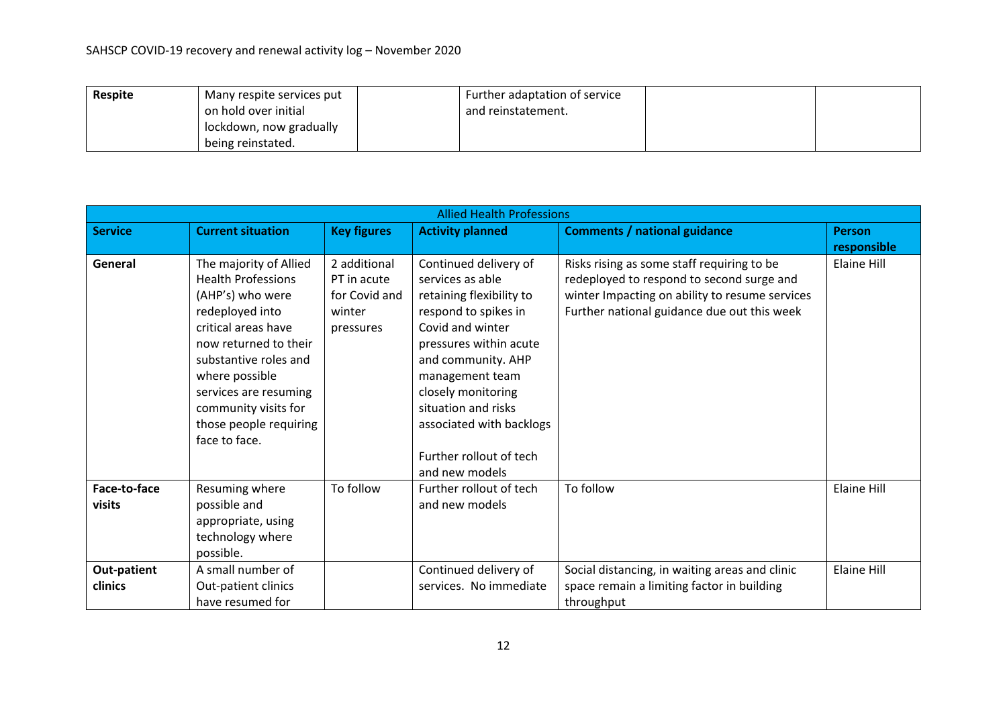| <b>Respite</b> | Many respite services put | Further adaptation of service |  |
|----------------|---------------------------|-------------------------------|--|
|                | on hold over initial      | and reinstatement.            |  |
|                | lockdown, now gradually   |                               |  |
|                | being reinstated.         |                               |  |

|                | <b>Allied Health Professions</b> |                    |                          |                                                |                    |  |  |  |  |
|----------------|----------------------------------|--------------------|--------------------------|------------------------------------------------|--------------------|--|--|--|--|
| <b>Service</b> | <b>Current situation</b>         | <b>Key figures</b> | <b>Activity planned</b>  | <b>Comments / national guidance</b>            | <b>Person</b>      |  |  |  |  |
|                |                                  |                    |                          |                                                | responsible        |  |  |  |  |
| General        | The majority of Allied           | 2 additional       | Continued delivery of    | Risks rising as some staff requiring to be     | Elaine Hill        |  |  |  |  |
|                | <b>Health Professions</b>        | PT in acute        | services as able         | redeployed to respond to second surge and      |                    |  |  |  |  |
|                | (AHP's) who were                 | for Covid and      | retaining flexibility to | winter Impacting on ability to resume services |                    |  |  |  |  |
|                | redeployed into                  | winter             | respond to spikes in     | Further national guidance due out this week    |                    |  |  |  |  |
|                | critical areas have              | pressures          | Covid and winter         |                                                |                    |  |  |  |  |
|                | now returned to their            |                    | pressures within acute   |                                                |                    |  |  |  |  |
|                | substantive roles and            |                    | and community. AHP       |                                                |                    |  |  |  |  |
|                | where possible                   |                    | management team          |                                                |                    |  |  |  |  |
|                | services are resuming            |                    | closely monitoring       |                                                |                    |  |  |  |  |
|                | community visits for             |                    | situation and risks      |                                                |                    |  |  |  |  |
|                | those people requiring           |                    | associated with backlogs |                                                |                    |  |  |  |  |
|                | face to face.                    |                    |                          |                                                |                    |  |  |  |  |
|                |                                  |                    | Further rollout of tech  |                                                |                    |  |  |  |  |
|                |                                  |                    | and new models           |                                                |                    |  |  |  |  |
| Face-to-face   | Resuming where                   | To follow          | Further rollout of tech  | To follow                                      | <b>Elaine Hill</b> |  |  |  |  |
| visits         | possible and                     |                    | and new models           |                                                |                    |  |  |  |  |
|                | appropriate, using               |                    |                          |                                                |                    |  |  |  |  |
|                | technology where                 |                    |                          |                                                |                    |  |  |  |  |
|                | possible.                        |                    |                          |                                                |                    |  |  |  |  |
| Out-patient    | A small number of                |                    | Continued delivery of    | Social distancing, in waiting areas and clinic | <b>Elaine Hill</b> |  |  |  |  |
| clinics        | Out-patient clinics              |                    | services. No immediate   | space remain a limiting factor in building     |                    |  |  |  |  |
|                | have resumed for                 |                    |                          | throughput                                     |                    |  |  |  |  |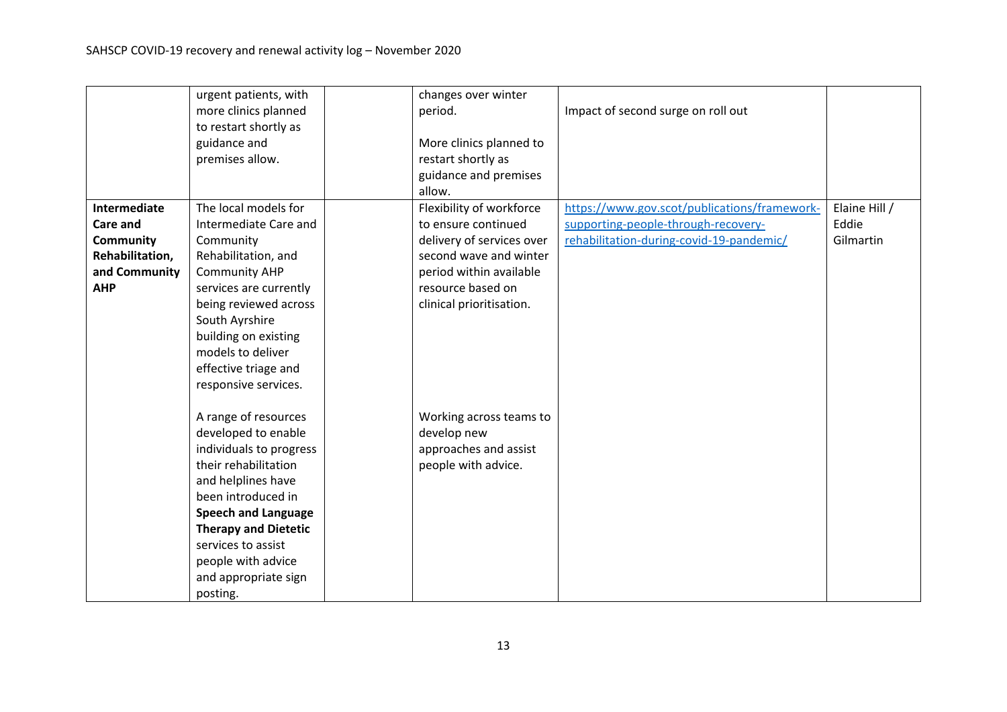|                  | urgent patients, with       | changes over winter       |                                              |               |
|------------------|-----------------------------|---------------------------|----------------------------------------------|---------------|
|                  | more clinics planned        | period.                   | Impact of second surge on roll out           |               |
|                  | to restart shortly as       |                           |                                              |               |
|                  | guidance and                | More clinics planned to   |                                              |               |
|                  | premises allow.             | restart shortly as        |                                              |               |
|                  |                             | guidance and premises     |                                              |               |
|                  |                             | allow.                    |                                              |               |
| Intermediate     | The local models for        | Flexibility of workforce  | https://www.gov.scot/publications/framework- | Elaine Hill / |
| <b>Care and</b>  | Intermediate Care and       | to ensure continued       | supporting-people-through-recovery-          | Eddie         |
| <b>Community</b> | Community                   | delivery of services over | rehabilitation-during-covid-19-pandemic/     | Gilmartin     |
| Rehabilitation,  | Rehabilitation, and         | second wave and winter    |                                              |               |
| and Community    | <b>Community AHP</b>        | period within available   |                                              |               |
| <b>AHP</b>       | services are currently      | resource based on         |                                              |               |
|                  | being reviewed across       | clinical prioritisation.  |                                              |               |
|                  | South Ayrshire              |                           |                                              |               |
|                  | building on existing        |                           |                                              |               |
|                  | models to deliver           |                           |                                              |               |
|                  | effective triage and        |                           |                                              |               |
|                  | responsive services.        |                           |                                              |               |
|                  | A range of resources        | Working across teams to   |                                              |               |
|                  | developed to enable         | develop new               |                                              |               |
|                  | individuals to progress     | approaches and assist     |                                              |               |
|                  | their rehabilitation        | people with advice.       |                                              |               |
|                  | and helplines have          |                           |                                              |               |
|                  | been introduced in          |                           |                                              |               |
|                  | <b>Speech and Language</b>  |                           |                                              |               |
|                  | <b>Therapy and Dietetic</b> |                           |                                              |               |
|                  | services to assist          |                           |                                              |               |
|                  | people with advice          |                           |                                              |               |
|                  | and appropriate sign        |                           |                                              |               |
|                  | posting.                    |                           |                                              |               |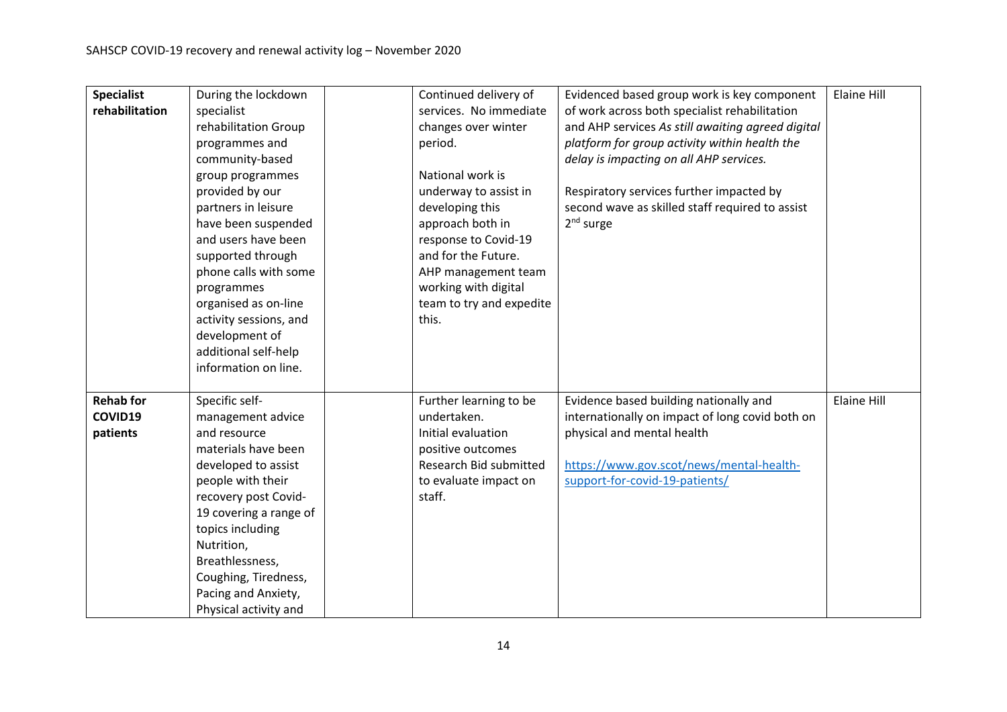| <b>Specialist</b> | During the lockdown    | Continued delivery of    | Evidenced based group work is key component       | <b>Elaine Hill</b> |
|-------------------|------------------------|--------------------------|---------------------------------------------------|--------------------|
| rehabilitation    | specialist             | services. No immediate   | of work across both specialist rehabilitation     |                    |
|                   | rehabilitation Group   | changes over winter      | and AHP services As still awaiting agreed digital |                    |
|                   | programmes and         | period.                  | platform for group activity within health the     |                    |
|                   | community-based        |                          | delay is impacting on all AHP services.           |                    |
|                   | group programmes       | National work is         |                                                   |                    |
|                   | provided by our        | underway to assist in    | Respiratory services further impacted by          |                    |
|                   | partners in leisure    | developing this          | second wave as skilled staff required to assist   |                    |
|                   | have been suspended    | approach both in         | $2nd$ surge                                       |                    |
|                   | and users have been    | response to Covid-19     |                                                   |                    |
|                   | supported through      | and for the Future.      |                                                   |                    |
|                   | phone calls with some  | AHP management team      |                                                   |                    |
|                   | programmes             | working with digital     |                                                   |                    |
|                   | organised as on-line   | team to try and expedite |                                                   |                    |
|                   | activity sessions, and | this.                    |                                                   |                    |
|                   | development of         |                          |                                                   |                    |
|                   | additional self-help   |                          |                                                   |                    |
|                   | information on line.   |                          |                                                   |                    |
|                   |                        |                          |                                                   |                    |
| <b>Rehab for</b>  | Specific self-         | Further learning to be   | Evidence based building nationally and            | <b>Elaine Hill</b> |
| COVID19           | management advice      | undertaken.              | internationally on impact of long covid both on   |                    |
| patients          | and resource           | Initial evaluation       | physical and mental health                        |                    |
|                   | materials have been    | positive outcomes        |                                                   |                    |
|                   | developed to assist    | Research Bid submitted   | https://www.gov.scot/news/mental-health-          |                    |
|                   | people with their      | to evaluate impact on    | support-for-covid-19-patients/                    |                    |
|                   | recovery post Covid-   | staff.                   |                                                   |                    |
|                   | 19 covering a range of |                          |                                                   |                    |
|                   | topics including       |                          |                                                   |                    |
|                   | Nutrition,             |                          |                                                   |                    |
|                   | Breathlessness,        |                          |                                                   |                    |
|                   | Coughing, Tiredness,   |                          |                                                   |                    |
|                   | Pacing and Anxiety,    |                          |                                                   |                    |
|                   | Physical activity and  |                          |                                                   |                    |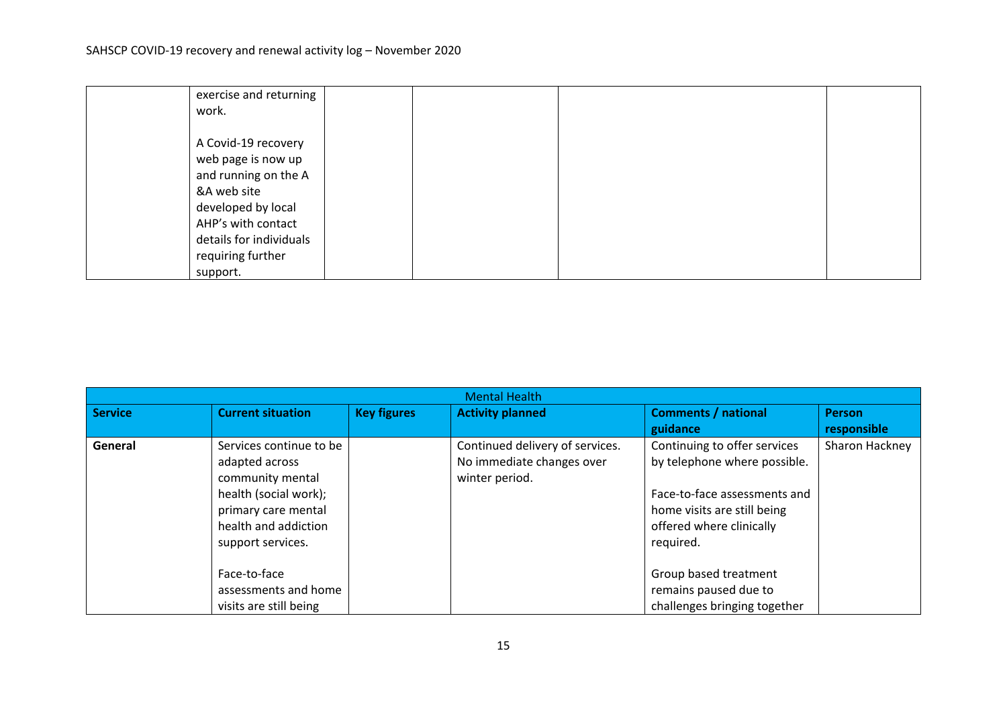| exercise and returning  |  |  |  |
|-------------------------|--|--|--|
| work.                   |  |  |  |
|                         |  |  |  |
| A Covid-19 recovery     |  |  |  |
| web page is now up      |  |  |  |
| and running on the A    |  |  |  |
| &A web site             |  |  |  |
| developed by local      |  |  |  |
| AHP's with contact      |  |  |  |
| details for individuals |  |  |  |
| requiring further       |  |  |  |
| support.                |  |  |  |

|         | <b>Mental Health</b>                                                                                                                                       |                    |                                                                                |                                                                                                                                                                      |                              |  |  |  |  |  |
|---------|------------------------------------------------------------------------------------------------------------------------------------------------------------|--------------------|--------------------------------------------------------------------------------|----------------------------------------------------------------------------------------------------------------------------------------------------------------------|------------------------------|--|--|--|--|--|
| Service | <b>Current situation</b>                                                                                                                                   | <b>Key figures</b> | <b>Activity planned</b>                                                        | <b>Comments / national</b><br>guidance                                                                                                                               | <b>Person</b><br>responsible |  |  |  |  |  |
| General | Services continue to be<br>adapted across<br>community mental<br>health (social work);<br>primary care mental<br>health and addiction<br>support services. |                    | Continued delivery of services.<br>No immediate changes over<br>winter period. | Continuing to offer services<br>by telephone where possible.<br>Face-to-face assessments and<br>home visits are still being<br>offered where clinically<br>required. | Sharon Hackney               |  |  |  |  |  |
|         | Face-to-face<br>assessments and home<br>visits are still being                                                                                             |                    |                                                                                | Group based treatment<br>remains paused due to<br>challenges bringing together                                                                                       |                              |  |  |  |  |  |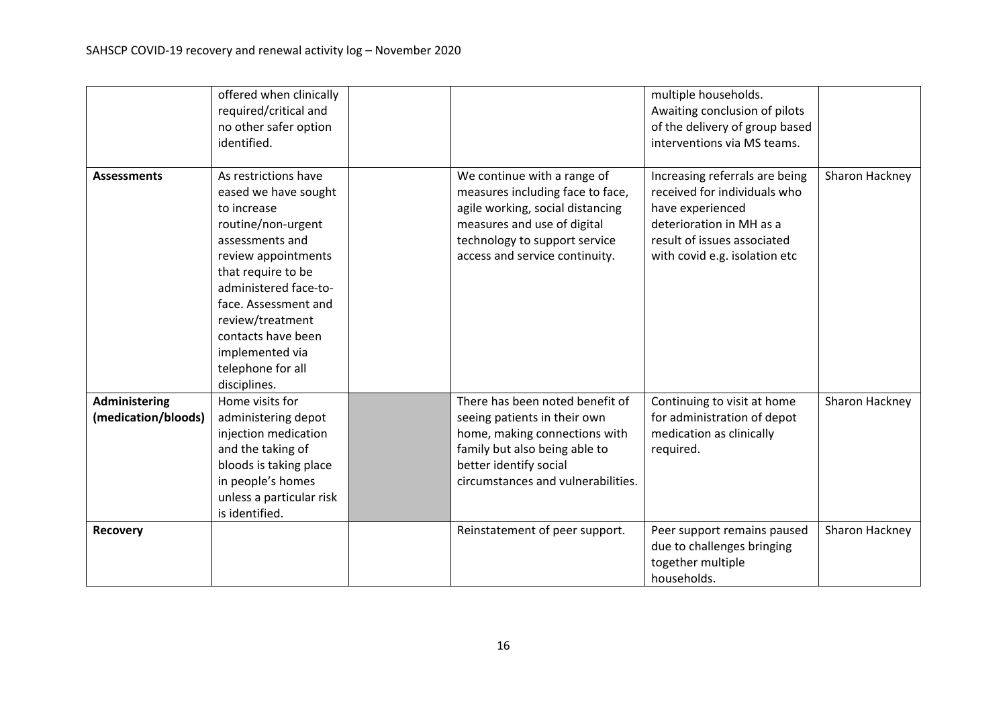|                                      | offered when clinically<br>required/critical and<br>no other safer option<br>identified.                                                                                                                                                                                                             |                                                                                                                                                                                                       | multiple households.<br>Awaiting conclusion of pilots<br>of the delivery of group based<br>interventions via MS teams.                                                         |                |
|--------------------------------------|------------------------------------------------------------------------------------------------------------------------------------------------------------------------------------------------------------------------------------------------------------------------------------------------------|-------------------------------------------------------------------------------------------------------------------------------------------------------------------------------------------------------|--------------------------------------------------------------------------------------------------------------------------------------------------------------------------------|----------------|
| <b>Assessments</b>                   | As restrictions have<br>eased we have sought<br>to increase<br>routine/non-urgent<br>assessments and<br>review appointments<br>that require to be<br>administered face-to-<br>face. Assessment and<br>review/treatment<br>contacts have been<br>implemented via<br>telephone for all<br>disciplines. | We continue with a range of<br>measures including face to face,<br>agile working, social distancing<br>measures and use of digital<br>technology to support service<br>access and service continuity. | Increasing referrals are being<br>received for individuals who<br>have experienced<br>deterioration in MH as a<br>result of issues associated<br>with covid e.g. isolation etc | Sharon Hackney |
| Administering<br>(medication/bloods) | Home visits for<br>administering depot<br>injection medication<br>and the taking of<br>bloods is taking place<br>in people's homes<br>unless a particular risk<br>is identified.                                                                                                                     | There has been noted benefit of<br>seeing patients in their own<br>home, making connections with<br>family but also being able to<br>better identify social<br>circumstances and vulnerabilities.     | Continuing to visit at home<br>for administration of depot<br>medication as clinically<br>required.                                                                            | Sharon Hackney |
| <b>Recovery</b>                      |                                                                                                                                                                                                                                                                                                      | Reinstatement of peer support.                                                                                                                                                                        | Peer support remains paused<br>due to challenges bringing<br>together multiple<br>households.                                                                                  | Sharon Hackney |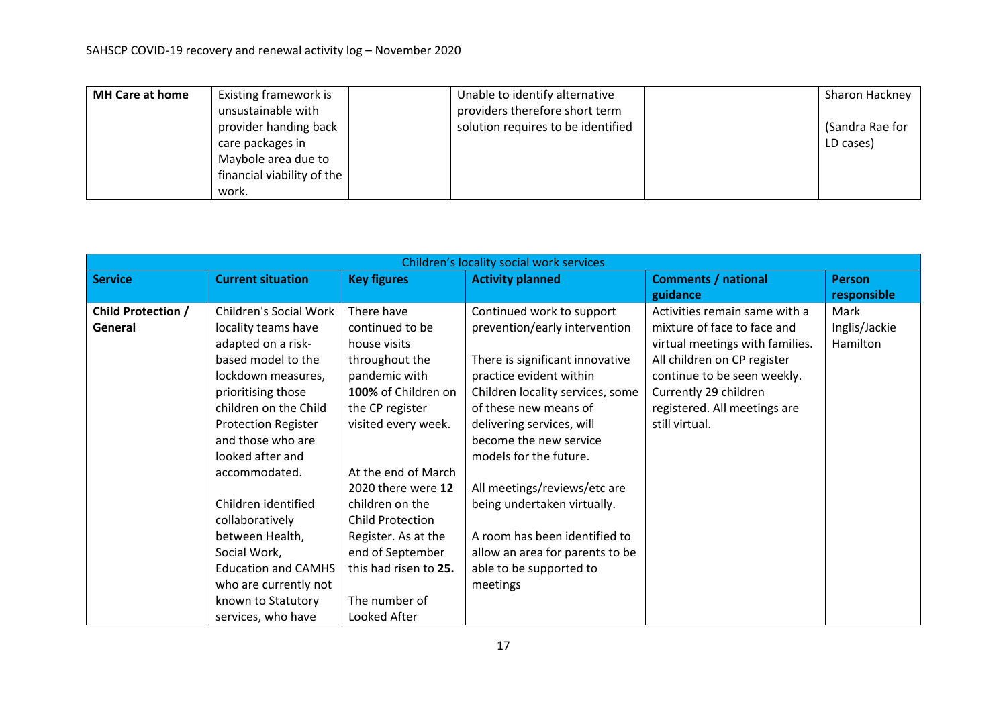| <b>MH Care at home</b> | Existing framework is      | Unable to identify alternative     | Sharon Hackney  |
|------------------------|----------------------------|------------------------------------|-----------------|
|                        | unsustainable with         | providers therefore short term     |                 |
|                        | provider handing back      | solution requires to be identified | (Sandra Rae for |
|                        | care packages in           |                                    | LD cases)       |
|                        | Maybole area due to        |                                    |                 |
|                        | financial viability of the |                                    |                 |
|                        | work.                      |                                    |                 |

|                           | Children's locality social work services |                       |                                  |                                 |               |  |  |  |  |
|---------------------------|------------------------------------------|-----------------------|----------------------------------|---------------------------------|---------------|--|--|--|--|
| <b>Service</b>            | <b>Current situation</b>                 | <b>Key figures</b>    | <b>Activity planned</b>          | <b>Comments / national</b>      | <b>Person</b> |  |  |  |  |
|                           |                                          |                       |                                  | guidance                        | responsible   |  |  |  |  |
| <b>Child Protection /</b> | <b>Children's Social Work</b>            | There have            | Continued work to support        | Activities remain same with a   | Mark          |  |  |  |  |
| General                   | locality teams have                      | continued to be       | prevention/early intervention    | mixture of face to face and     | Inglis/Jackie |  |  |  |  |
|                           | adapted on a risk-                       | house visits          |                                  | virtual meetings with families. | Hamilton      |  |  |  |  |
|                           | based model to the                       | throughout the        | There is significant innovative  | All children on CP register     |               |  |  |  |  |
|                           | lockdown measures,                       | pandemic with         | practice evident within          | continue to be seen weekly.     |               |  |  |  |  |
|                           | prioritising those                       | 100% of Children on   | Children locality services, some | Currently 29 children           |               |  |  |  |  |
|                           | children on the Child                    | the CP register       | of these new means of            | registered. All meetings are    |               |  |  |  |  |
|                           | <b>Protection Register</b>               | visited every week.   | delivering services, will        | still virtual.                  |               |  |  |  |  |
|                           | and those who are                        |                       | become the new service           |                                 |               |  |  |  |  |
|                           | looked after and                         |                       | models for the future.           |                                 |               |  |  |  |  |
|                           | accommodated.                            | At the end of March   |                                  |                                 |               |  |  |  |  |
|                           |                                          | 2020 there were 12    | All meetings/reviews/etc are     |                                 |               |  |  |  |  |
|                           | Children identified                      | children on the       | being undertaken virtually.      |                                 |               |  |  |  |  |
|                           | collaboratively                          | Child Protection      |                                  |                                 |               |  |  |  |  |
|                           | between Health,                          | Register. As at the   | A room has been identified to    |                                 |               |  |  |  |  |
|                           | Social Work,                             | end of September      | allow an area for parents to be  |                                 |               |  |  |  |  |
|                           | <b>Education and CAMHS</b>               | this had risen to 25. | able to be supported to          |                                 |               |  |  |  |  |
|                           | who are currently not                    |                       | meetings                         |                                 |               |  |  |  |  |
|                           | known to Statutory                       | The number of         |                                  |                                 |               |  |  |  |  |
|                           | services, who have                       | Looked After          |                                  |                                 |               |  |  |  |  |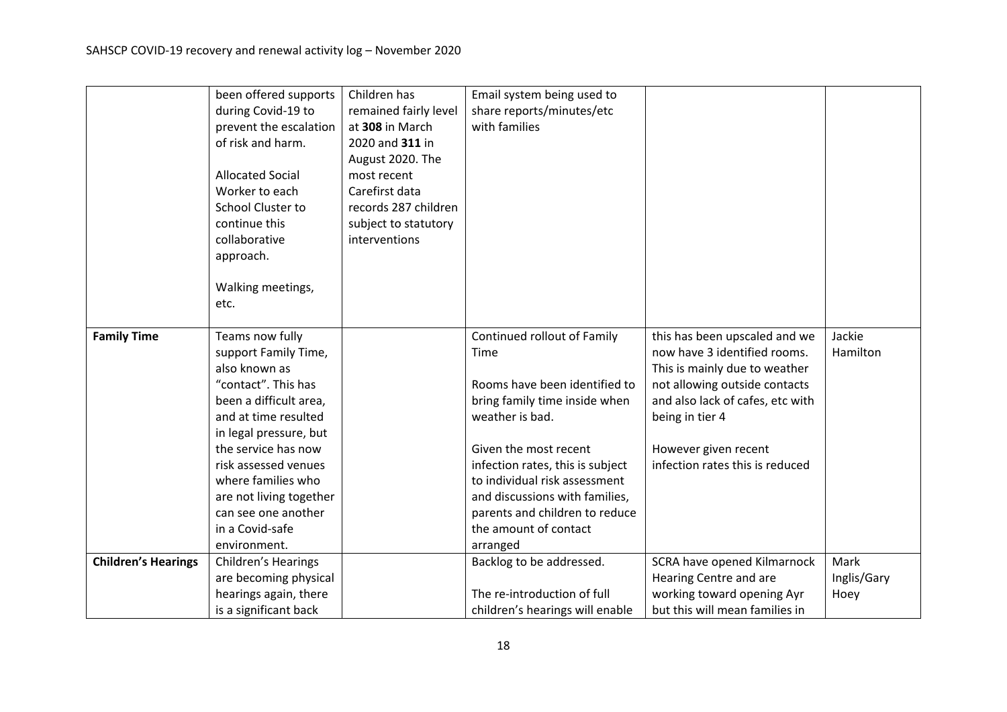|                            | been offered supports      | Children has          | Email system being used to       |                                  |             |
|----------------------------|----------------------------|-----------------------|----------------------------------|----------------------------------|-------------|
|                            | during Covid-19 to         | remained fairly level | share reports/minutes/etc        |                                  |             |
|                            | prevent the escalation     | at 308 in March       | with families                    |                                  |             |
|                            | of risk and harm.          | 2020 and 311 in       |                                  |                                  |             |
|                            |                            | August 2020. The      |                                  |                                  |             |
|                            | <b>Allocated Social</b>    | most recent           |                                  |                                  |             |
|                            | Worker to each             | Carefirst data        |                                  |                                  |             |
|                            | <b>School Cluster to</b>   | records 287 children  |                                  |                                  |             |
|                            | continue this              | subject to statutory  |                                  |                                  |             |
|                            | collaborative              | interventions         |                                  |                                  |             |
|                            | approach.                  |                       |                                  |                                  |             |
|                            |                            |                       |                                  |                                  |             |
|                            | Walking meetings,          |                       |                                  |                                  |             |
|                            | etc.                       |                       |                                  |                                  |             |
|                            |                            |                       |                                  |                                  |             |
| <b>Family Time</b>         | Teams now fully            |                       | Continued rollout of Family      | this has been upscaled and we    | Jackie      |
|                            | support Family Time,       |                       | Time                             | now have 3 identified rooms.     | Hamilton    |
|                            | also known as              |                       |                                  | This is mainly due to weather    |             |
|                            | "contact". This has        |                       | Rooms have been identified to    | not allowing outside contacts    |             |
|                            | been a difficult area,     |                       | bring family time inside when    | and also lack of cafes, etc with |             |
|                            | and at time resulted       |                       | weather is bad.                  | being in tier 4                  |             |
|                            | in legal pressure, but     |                       |                                  |                                  |             |
|                            | the service has now        |                       | Given the most recent            | However given recent             |             |
|                            | risk assessed venues       |                       | infection rates, this is subject | infection rates this is reduced  |             |
|                            | where families who         |                       | to individual risk assessment    |                                  |             |
|                            | are not living together    |                       | and discussions with families,   |                                  |             |
|                            | can see one another        |                       | parents and children to reduce   |                                  |             |
|                            | in a Covid-safe            |                       | the amount of contact            |                                  |             |
|                            | environment.               |                       | arranged                         |                                  |             |
| <b>Children's Hearings</b> | <b>Children's Hearings</b> |                       | Backlog to be addressed.         | SCRA have opened Kilmarnock      | Mark        |
|                            | are becoming physical      |                       |                                  | Hearing Centre and are           | Inglis/Gary |
|                            | hearings again, there      |                       | The re-introduction of full      | working toward opening Ayr       | Hoey        |
|                            | is a significant back      |                       | children's hearings will enable  | but this will mean families in   |             |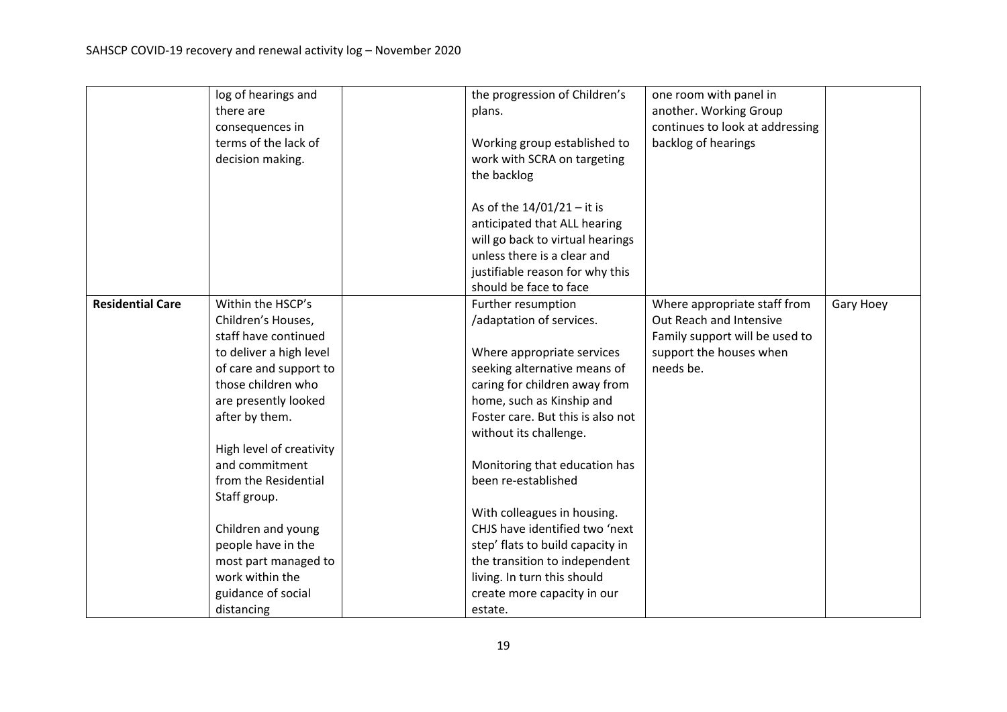|                         | log of hearings and      | the progression of Children's     | one room with panel in          |           |
|-------------------------|--------------------------|-----------------------------------|---------------------------------|-----------|
|                         | there are                | plans.                            | another. Working Group          |           |
|                         | consequences in          |                                   | continues to look at addressing |           |
|                         | terms of the lack of     | Working group established to      | backlog of hearings             |           |
|                         | decision making.         | work with SCRA on targeting       |                                 |           |
|                         |                          | the backlog                       |                                 |           |
|                         |                          |                                   |                                 |           |
|                         |                          | As of the 14/01/21 - it is        |                                 |           |
|                         |                          | anticipated that ALL hearing      |                                 |           |
|                         |                          | will go back to virtual hearings  |                                 |           |
|                         |                          | unless there is a clear and       |                                 |           |
|                         |                          | justifiable reason for why this   |                                 |           |
|                         |                          | should be face to face            |                                 |           |
| <b>Residential Care</b> | Within the HSCP's        | Further resumption                | Where appropriate staff from    | Gary Hoey |
|                         | Children's Houses,       | /adaptation of services.          | Out Reach and Intensive         |           |
|                         | staff have continued     |                                   | Family support will be used to  |           |
|                         | to deliver a high level  | Where appropriate services        | support the houses when         |           |
|                         | of care and support to   | seeking alternative means of      | needs be.                       |           |
|                         | those children who       | caring for children away from     |                                 |           |
|                         | are presently looked     | home, such as Kinship and         |                                 |           |
|                         | after by them.           | Foster care. But this is also not |                                 |           |
|                         |                          | without its challenge.            |                                 |           |
|                         | High level of creativity |                                   |                                 |           |
|                         | and commitment           | Monitoring that education has     |                                 |           |
|                         | from the Residential     | been re-established               |                                 |           |
|                         | Staff group.             |                                   |                                 |           |
|                         |                          | With colleagues in housing.       |                                 |           |
|                         | Children and young       | CHJS have identified two 'next    |                                 |           |
|                         | people have in the       | step' flats to build capacity in  |                                 |           |
|                         | most part managed to     | the transition to independent     |                                 |           |
|                         | work within the          | living. In turn this should       |                                 |           |
|                         | guidance of social       | create more capacity in our       |                                 |           |
|                         | distancing               | estate.                           |                                 |           |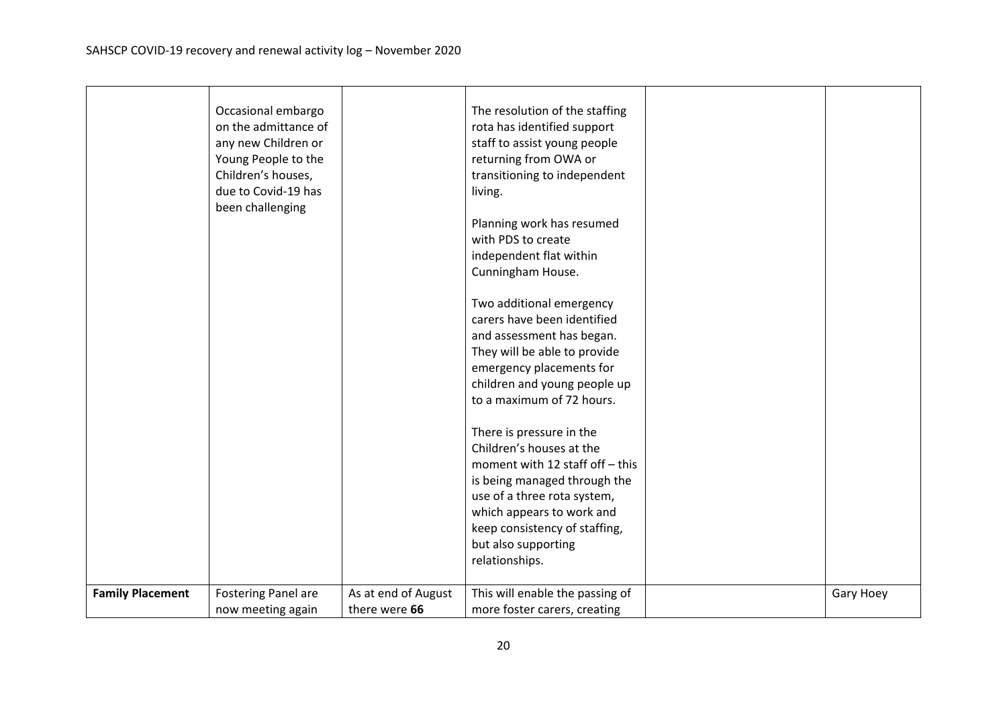|                         | Occasional embargo<br>on the admittance of<br>any new Children or<br>Young People to the<br>Children's houses,<br>due to Covid-19 has<br>been challenging |                                      | The resolution of the staffing<br>rota has identified support<br>staff to assist young people<br>returning from OWA or<br>transitioning to independent<br>living.<br>Planning work has resumed<br>with PDS to create<br>independent flat within<br>Cunningham House.<br>Two additional emergency<br>carers have been identified<br>and assessment has began.<br>They will be able to provide<br>emergency placements for<br>children and young people up<br>to a maximum of 72 hours.<br>There is pressure in the<br>Children's houses at the<br>moment with 12 staff off - this<br>is being managed through the<br>use of a three rota system,<br>which appears to work and<br>keep consistency of staffing,<br>but also supporting<br>relationships. |           |
|-------------------------|-----------------------------------------------------------------------------------------------------------------------------------------------------------|--------------------------------------|--------------------------------------------------------------------------------------------------------------------------------------------------------------------------------------------------------------------------------------------------------------------------------------------------------------------------------------------------------------------------------------------------------------------------------------------------------------------------------------------------------------------------------------------------------------------------------------------------------------------------------------------------------------------------------------------------------------------------------------------------------|-----------|
| <b>Family Placement</b> | <b>Fostering Panel are</b><br>now meeting again                                                                                                           | As at end of August<br>there were 66 | This will enable the passing of<br>more foster carers, creating                                                                                                                                                                                                                                                                                                                                                                                                                                                                                                                                                                                                                                                                                        | Gary Hoey |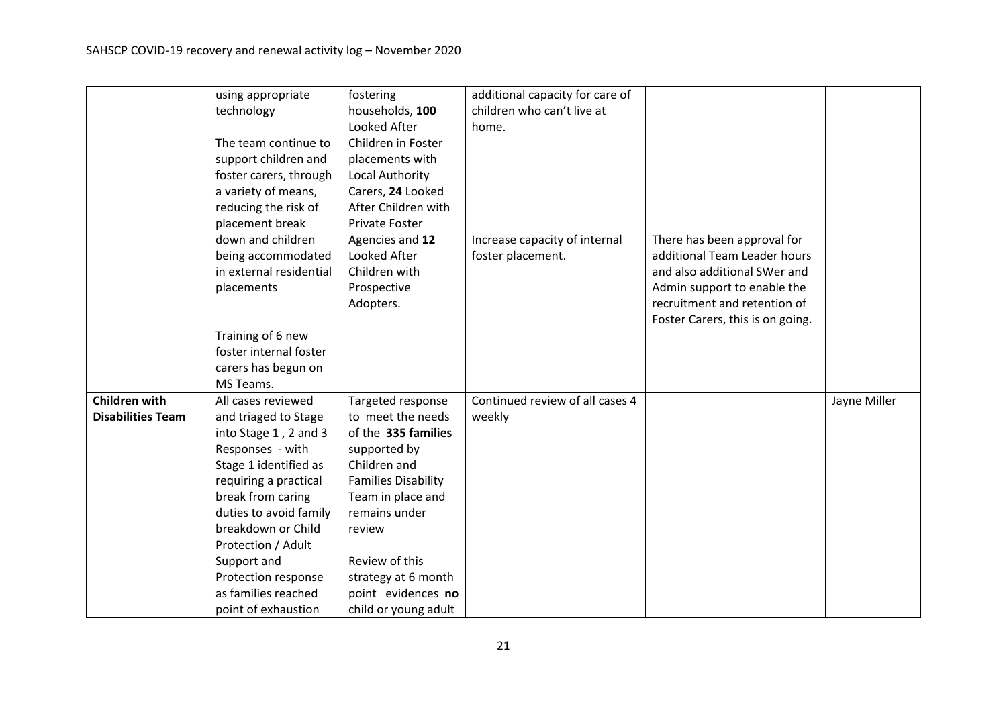|                          | using appropriate       | fostering                  | additional capacity for care of |                                  |              |
|--------------------------|-------------------------|----------------------------|---------------------------------|----------------------------------|--------------|
|                          | technology              | households, 100            | children who can't live at      |                                  |              |
|                          |                         | Looked After               | home.                           |                                  |              |
|                          | The team continue to    | Children in Foster         |                                 |                                  |              |
|                          | support children and    | placements with            |                                 |                                  |              |
|                          | foster carers, through  | Local Authority            |                                 |                                  |              |
|                          | a variety of means,     | Carers, 24 Looked          |                                 |                                  |              |
|                          | reducing the risk of    | After Children with        |                                 |                                  |              |
|                          | placement break         | <b>Private Foster</b>      |                                 |                                  |              |
|                          | down and children       | Agencies and 12            | Increase capacity of internal   | There has been approval for      |              |
|                          | being accommodated      | Looked After               | foster placement.               | additional Team Leader hours     |              |
|                          | in external residential | Children with              |                                 | and also additional SWer and     |              |
|                          | placements              | Prospective                |                                 | Admin support to enable the      |              |
|                          |                         | Adopters.                  |                                 | recruitment and retention of     |              |
|                          |                         |                            |                                 | Foster Carers, this is on going. |              |
|                          | Training of 6 new       |                            |                                 |                                  |              |
|                          | foster internal foster  |                            |                                 |                                  |              |
|                          | carers has begun on     |                            |                                 |                                  |              |
|                          | MS Teams.               |                            |                                 |                                  |              |
| <b>Children with</b>     | All cases reviewed      | Targeted response          | Continued review of all cases 4 |                                  | Jayne Miller |
| <b>Disabilities Team</b> | and triaged to Stage    | to meet the needs          | weekly                          |                                  |              |
|                          | into Stage 1, 2 and 3   | of the 335 families        |                                 |                                  |              |
|                          | Responses - with        | supported by               |                                 |                                  |              |
|                          | Stage 1 identified as   | Children and               |                                 |                                  |              |
|                          | requiring a practical   | <b>Families Disability</b> |                                 |                                  |              |
|                          | break from caring       | Team in place and          |                                 |                                  |              |
|                          | duties to avoid family  | remains under              |                                 |                                  |              |
|                          | breakdown or Child      | review                     |                                 |                                  |              |
|                          | Protection / Adult      |                            |                                 |                                  |              |
|                          | Support and             | Review of this             |                                 |                                  |              |
|                          | Protection response     | strategy at 6 month        |                                 |                                  |              |
|                          | as families reached     | point evidences no         |                                 |                                  |              |
|                          | point of exhaustion     | child or young adult       |                                 |                                  |              |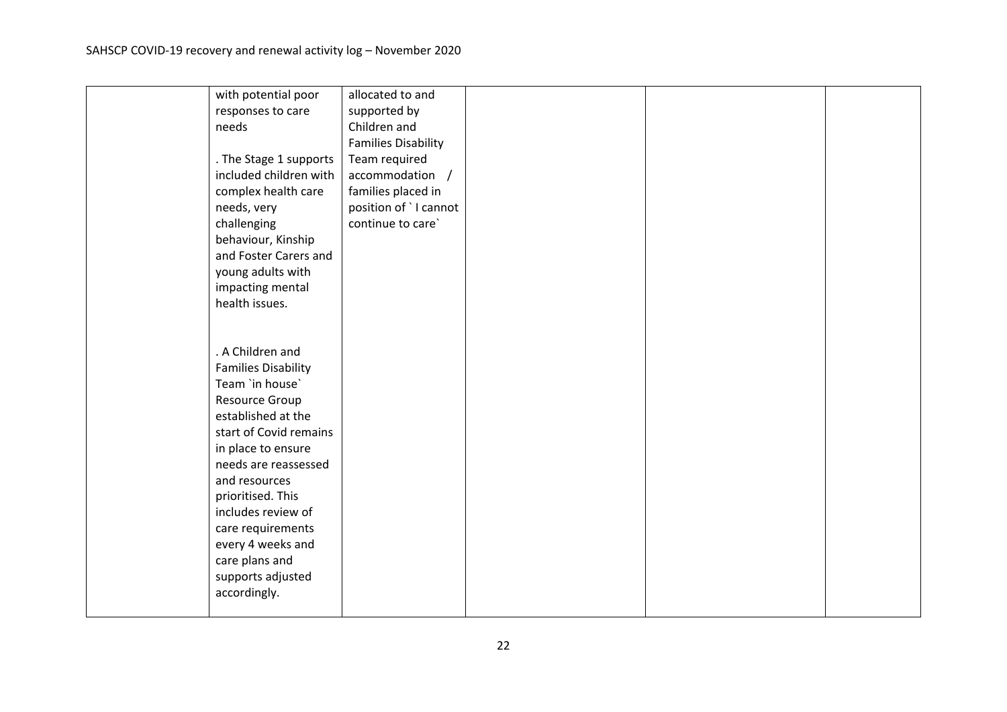| with potential poor        | allocated to and           |  |  |
|----------------------------|----------------------------|--|--|
| responses to care          | supported by               |  |  |
| needs                      | Children and               |  |  |
|                            | <b>Families Disability</b> |  |  |
| . The Stage 1 supports     | Team required              |  |  |
| included children with     | accommodation /            |  |  |
| complex health care        | families placed in         |  |  |
| needs, very                | position of `I cannot      |  |  |
| challenging                | continue to care`          |  |  |
| behaviour, Kinship         |                            |  |  |
| and Foster Carers and      |                            |  |  |
| young adults with          |                            |  |  |
| impacting mental           |                            |  |  |
| health issues.             |                            |  |  |
|                            |                            |  |  |
|                            |                            |  |  |
| . A Children and           |                            |  |  |
| <b>Families Disability</b> |                            |  |  |
| Team 'in house'            |                            |  |  |
| Resource Group             |                            |  |  |
| established at the         |                            |  |  |
| start of Covid remains     |                            |  |  |
| in place to ensure         |                            |  |  |
| needs are reassessed       |                            |  |  |
| and resources              |                            |  |  |
| prioritised. This          |                            |  |  |
| includes review of         |                            |  |  |
| care requirements          |                            |  |  |
| every 4 weeks and          |                            |  |  |
| care plans and             |                            |  |  |
| supports adjusted          |                            |  |  |
| accordingly.               |                            |  |  |
|                            |                            |  |  |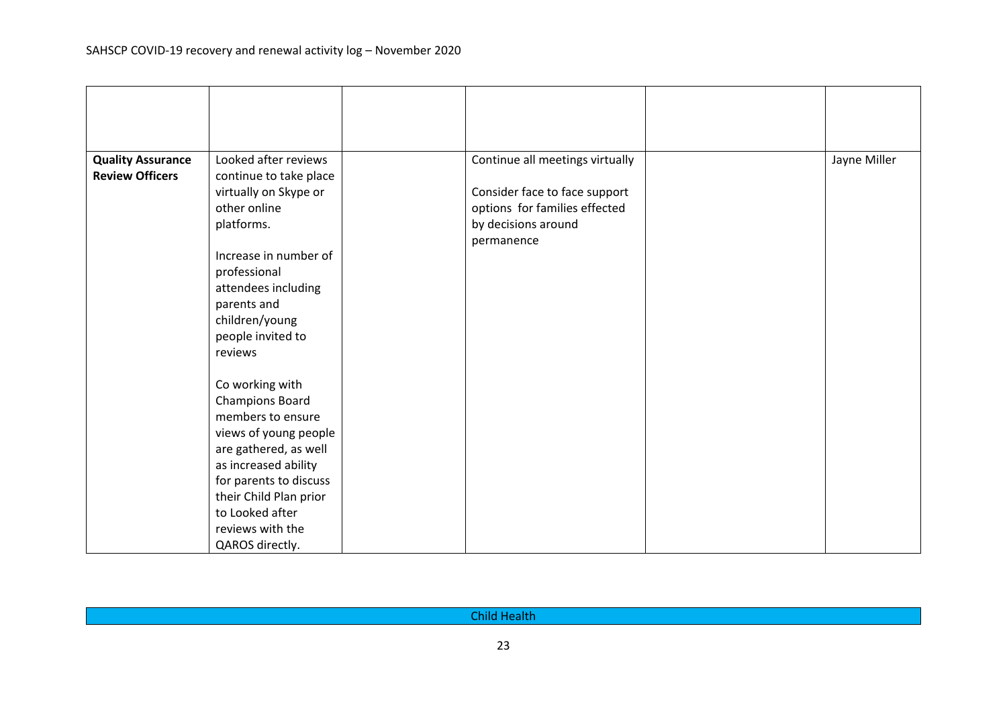| <b>Quality Assurance</b> | Looked after reviews   | Continue all meetings virtually | Jayne Miller |
|--------------------------|------------------------|---------------------------------|--------------|
| <b>Review Officers</b>   | continue to take place |                                 |              |
|                          | virtually on Skype or  | Consider face to face support   |              |
|                          | other online           | options for families effected   |              |
|                          | platforms.             | by decisions around             |              |
|                          |                        | permanence                      |              |
|                          | Increase in number of  |                                 |              |
|                          | professional           |                                 |              |
|                          | attendees including    |                                 |              |
|                          | parents and            |                                 |              |
|                          | children/young         |                                 |              |
|                          | people invited to      |                                 |              |
|                          | reviews                |                                 |              |
|                          |                        |                                 |              |
|                          | Co working with        |                                 |              |
|                          | <b>Champions Board</b> |                                 |              |
|                          | members to ensure      |                                 |              |
|                          | views of young people  |                                 |              |
|                          | are gathered, as well  |                                 |              |
|                          | as increased ability   |                                 |              |
|                          | for parents to discuss |                                 |              |
|                          | their Child Plan prior |                                 |              |
|                          | to Looked after        |                                 |              |
|                          | reviews with the       |                                 |              |
|                          | QAROS directly.        |                                 |              |

| <b>Child Health</b> |  |
|---------------------|--|
| $\sim$              |  |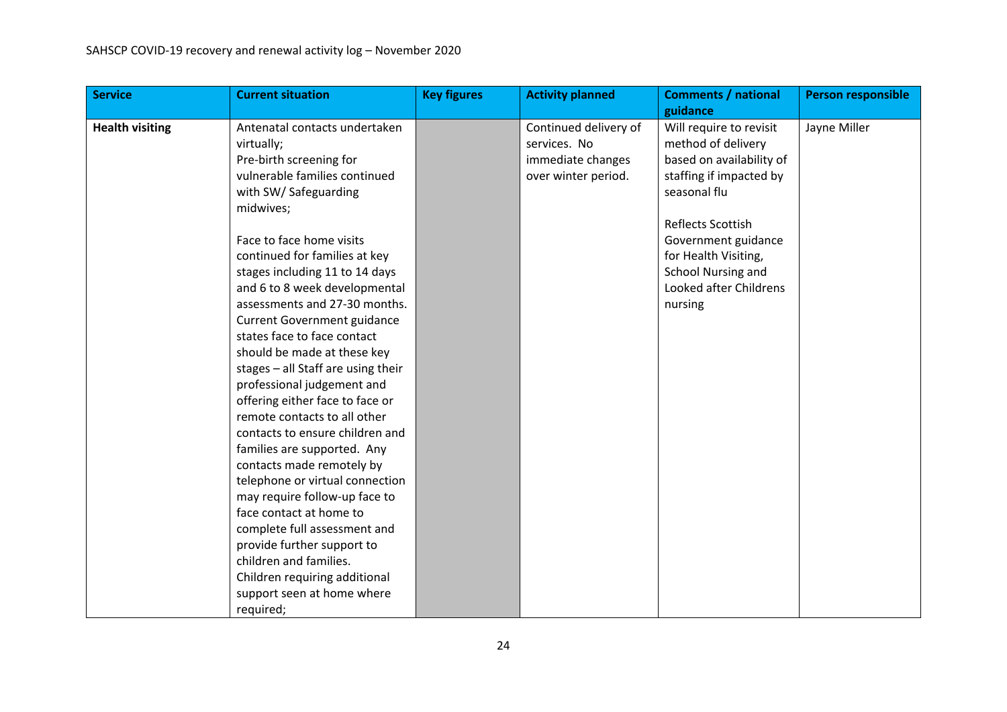| <b>Service</b>         | <b>Current situation</b>           | <b>Key figures</b> | <b>Activity planned</b> | <b>Comments / national</b> | <b>Person responsible</b> |
|------------------------|------------------------------------|--------------------|-------------------------|----------------------------|---------------------------|
|                        |                                    |                    |                         | guidance                   |                           |
| <b>Health visiting</b> | Antenatal contacts undertaken      |                    | Continued delivery of   | Will require to revisit    | Jayne Miller              |
|                        | virtually;                         |                    | services. No            | method of delivery         |                           |
|                        | Pre-birth screening for            |                    | immediate changes       | based on availability of   |                           |
|                        | vulnerable families continued      |                    | over winter period.     | staffing if impacted by    |                           |
|                        | with SW/ Safeguarding              |                    |                         | seasonal flu               |                           |
|                        | midwives;                          |                    |                         |                            |                           |
|                        |                                    |                    |                         | Reflects Scottish          |                           |
|                        | Face to face home visits           |                    |                         | Government guidance        |                           |
|                        | continued for families at key      |                    |                         | for Health Visiting,       |                           |
|                        | stages including 11 to 14 days     |                    |                         | School Nursing and         |                           |
|                        | and 6 to 8 week developmental      |                    |                         | Looked after Childrens     |                           |
|                        | assessments and 27-30 months.      |                    |                         | nursing                    |                           |
|                        | <b>Current Government guidance</b> |                    |                         |                            |                           |
|                        | states face to face contact        |                    |                         |                            |                           |
|                        | should be made at these key        |                    |                         |                            |                           |
|                        | stages - all Staff are using their |                    |                         |                            |                           |
|                        | professional judgement and         |                    |                         |                            |                           |
|                        | offering either face to face or    |                    |                         |                            |                           |
|                        | remote contacts to all other       |                    |                         |                            |                           |
|                        | contacts to ensure children and    |                    |                         |                            |                           |
|                        | families are supported. Any        |                    |                         |                            |                           |
|                        | contacts made remotely by          |                    |                         |                            |                           |
|                        | telephone or virtual connection    |                    |                         |                            |                           |
|                        | may require follow-up face to      |                    |                         |                            |                           |
|                        | face contact at home to            |                    |                         |                            |                           |
|                        | complete full assessment and       |                    |                         |                            |                           |
|                        | provide further support to         |                    |                         |                            |                           |
|                        | children and families.             |                    |                         |                            |                           |
|                        | Children requiring additional      |                    |                         |                            |                           |
|                        | support seen at home where         |                    |                         |                            |                           |
|                        | required;                          |                    |                         |                            |                           |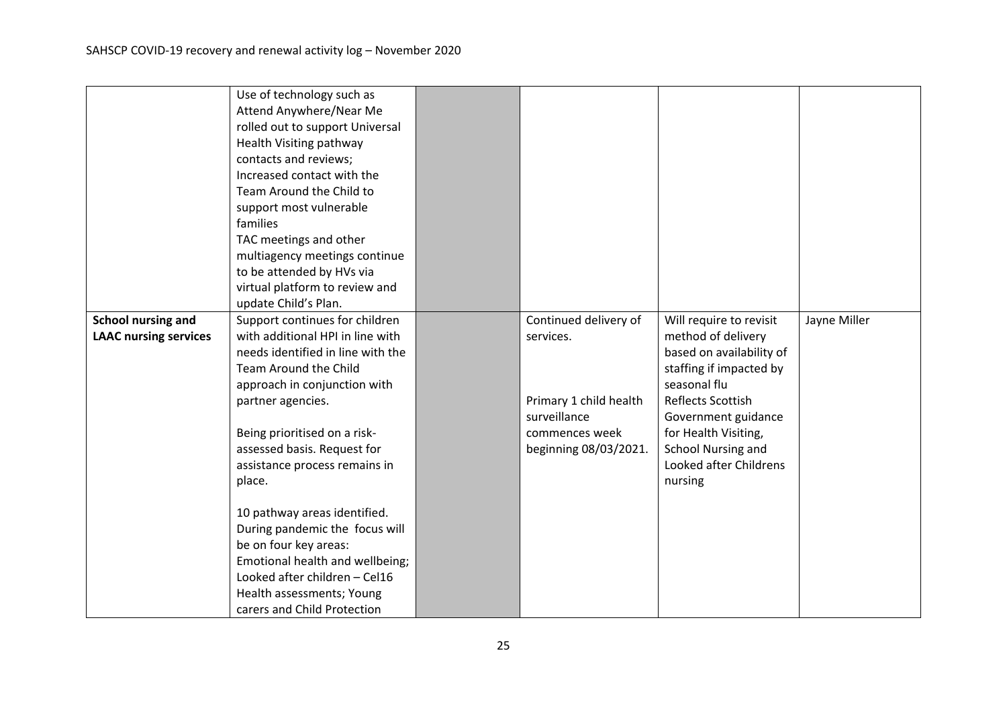| multiagency meetings continue     |                                                                                                                                                                                                                                                                                                                                                                                                                                                                                                                                                                                                                                                                  |                       |                                                                                   |                                                                                                                                                                                    |
|-----------------------------------|------------------------------------------------------------------------------------------------------------------------------------------------------------------------------------------------------------------------------------------------------------------------------------------------------------------------------------------------------------------------------------------------------------------------------------------------------------------------------------------------------------------------------------------------------------------------------------------------------------------------------------------------------------------|-----------------------|-----------------------------------------------------------------------------------|------------------------------------------------------------------------------------------------------------------------------------------------------------------------------------|
| to be attended by HVs via         |                                                                                                                                                                                                                                                                                                                                                                                                                                                                                                                                                                                                                                                                  |                       |                                                                                   |                                                                                                                                                                                    |
| virtual platform to review and    |                                                                                                                                                                                                                                                                                                                                                                                                                                                                                                                                                                                                                                                                  |                       |                                                                                   |                                                                                                                                                                                    |
| update Child's Plan.              |                                                                                                                                                                                                                                                                                                                                                                                                                                                                                                                                                                                                                                                                  |                       |                                                                                   |                                                                                                                                                                                    |
| Support continues for children    |                                                                                                                                                                                                                                                                                                                                                                                                                                                                                                                                                                                                                                                                  | Continued delivery of | Will require to revisit                                                           | Jayne Miller                                                                                                                                                                       |
| with additional HPI in line with  |                                                                                                                                                                                                                                                                                                                                                                                                                                                                                                                                                                                                                                                                  | services.             | method of delivery                                                                |                                                                                                                                                                                    |
| needs identified in line with the |                                                                                                                                                                                                                                                                                                                                                                                                                                                                                                                                                                                                                                                                  |                       |                                                                                   |                                                                                                                                                                                    |
| Team Around the Child             |                                                                                                                                                                                                                                                                                                                                                                                                                                                                                                                                                                                                                                                                  |                       |                                                                                   |                                                                                                                                                                                    |
|                                   |                                                                                                                                                                                                                                                                                                                                                                                                                                                                                                                                                                                                                                                                  |                       | seasonal flu                                                                      |                                                                                                                                                                                    |
|                                   |                                                                                                                                                                                                                                                                                                                                                                                                                                                                                                                                                                                                                                                                  |                       |                                                                                   |                                                                                                                                                                                    |
|                                   |                                                                                                                                                                                                                                                                                                                                                                                                                                                                                                                                                                                                                                                                  |                       |                                                                                   |                                                                                                                                                                                    |
|                                   |                                                                                                                                                                                                                                                                                                                                                                                                                                                                                                                                                                                                                                                                  |                       |                                                                                   |                                                                                                                                                                                    |
|                                   |                                                                                                                                                                                                                                                                                                                                                                                                                                                                                                                                                                                                                                                                  |                       |                                                                                   |                                                                                                                                                                                    |
|                                   |                                                                                                                                                                                                                                                                                                                                                                                                                                                                                                                                                                                                                                                                  |                       |                                                                                   |                                                                                                                                                                                    |
|                                   |                                                                                                                                                                                                                                                                                                                                                                                                                                                                                                                                                                                                                                                                  |                       |                                                                                   |                                                                                                                                                                                    |
|                                   |                                                                                                                                                                                                                                                                                                                                                                                                                                                                                                                                                                                                                                                                  |                       |                                                                                   |                                                                                                                                                                                    |
|                                   |                                                                                                                                                                                                                                                                                                                                                                                                                                                                                                                                                                                                                                                                  |                       |                                                                                   |                                                                                                                                                                                    |
|                                   |                                                                                                                                                                                                                                                                                                                                                                                                                                                                                                                                                                                                                                                                  |                       |                                                                                   |                                                                                                                                                                                    |
|                                   |                                                                                                                                                                                                                                                                                                                                                                                                                                                                                                                                                                                                                                                                  |                       |                                                                                   |                                                                                                                                                                                    |
|                                   |                                                                                                                                                                                                                                                                                                                                                                                                                                                                                                                                                                                                                                                                  |                       |                                                                                   |                                                                                                                                                                                    |
|                                   |                                                                                                                                                                                                                                                                                                                                                                                                                                                                                                                                                                                                                                                                  |                       |                                                                                   |                                                                                                                                                                                    |
|                                   |                                                                                                                                                                                                                                                                                                                                                                                                                                                                                                                                                                                                                                                                  |                       |                                                                                   |                                                                                                                                                                                    |
|                                   |                                                                                                                                                                                                                                                                                                                                                                                                                                                                                                                                                                                                                                                                  |                       |                                                                                   |                                                                                                                                                                                    |
|                                   | Use of technology such as<br>Attend Anywhere/Near Me<br>rolled out to support Universal<br>Health Visiting pathway<br>contacts and reviews;<br>Increased contact with the<br>Team Around the Child to<br>support most vulnerable<br>families<br>TAC meetings and other<br>approach in conjunction with<br>partner agencies.<br>Being prioritised on a risk-<br>assessed basis. Request for<br>assistance process remains in<br>place.<br>10 pathway areas identified.<br>During pandemic the focus will<br>be on four key areas:<br>Emotional health and wellbeing;<br>Looked after children - Cel16<br>Health assessments; Young<br>carers and Child Protection |                       | Primary 1 child health<br>surveillance<br>commences week<br>beginning 08/03/2021. | based on availability of<br>staffing if impacted by<br>Reflects Scottish<br>Government guidance<br>for Health Visiting,<br>School Nursing and<br>Looked after Childrens<br>nursing |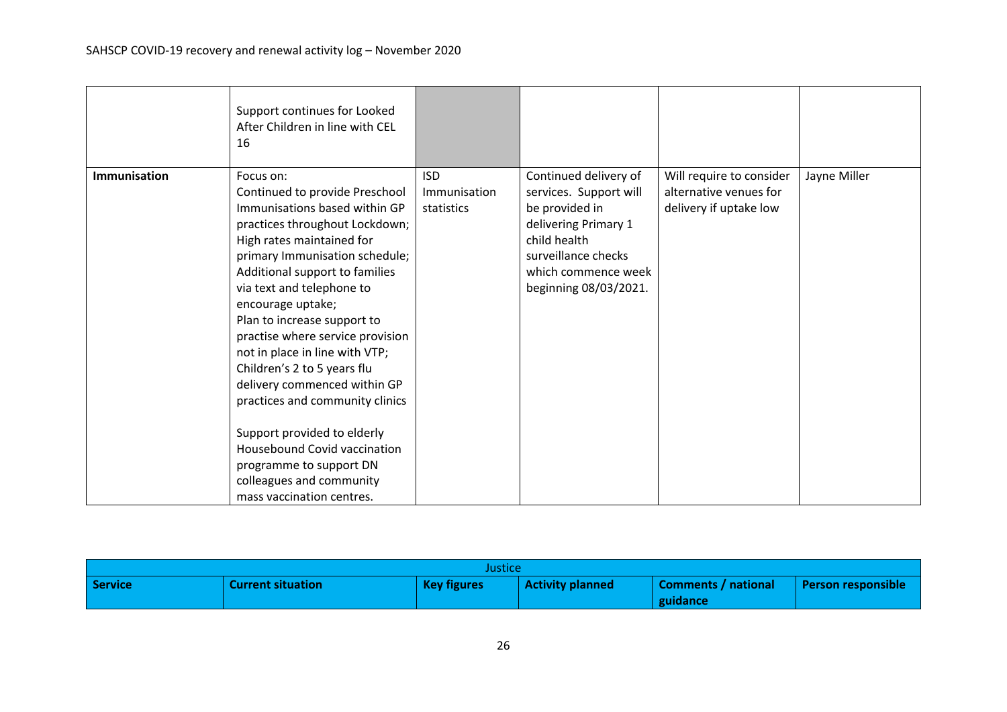|              | Support continues for Looked<br>After Children in line with CEL<br>16                                                                                                                                                                                                                                                                                                                                                                                                                                                                                                                                                              |                                          |                                                                                                                                                                                  |                                                                              |              |
|--------------|------------------------------------------------------------------------------------------------------------------------------------------------------------------------------------------------------------------------------------------------------------------------------------------------------------------------------------------------------------------------------------------------------------------------------------------------------------------------------------------------------------------------------------------------------------------------------------------------------------------------------------|------------------------------------------|----------------------------------------------------------------------------------------------------------------------------------------------------------------------------------|------------------------------------------------------------------------------|--------------|
| Immunisation | Focus on:<br>Continued to provide Preschool<br>Immunisations based within GP<br>practices throughout Lockdown;<br>High rates maintained for<br>primary Immunisation schedule;<br>Additional support to families<br>via text and telephone to<br>encourage uptake;<br>Plan to increase support to<br>practise where service provision<br>not in place in line with VTP;<br>Children's 2 to 5 years flu<br>delivery commenced within GP<br>practices and community clinics<br>Support provided to elderly<br><b>Housebound Covid vaccination</b><br>programme to support DN<br>colleagues and community<br>mass vaccination centres. | <b>ISD</b><br>Immunisation<br>statistics | Continued delivery of<br>services. Support will<br>be provided in<br>delivering Primary 1<br>child health<br>surveillance checks<br>which commence week<br>beginning 08/03/2021. | Will require to consider<br>alternative venues for<br>delivery if uptake low | Jayne Miller |

| Justice        |                          |                    |                         |                                 |                        |
|----------------|--------------------------|--------------------|-------------------------|---------------------------------|------------------------|
| <b>Service</b> | <b>Current situation</b> | <b>Key figures</b> | <b>Activity planned</b> | Comments / national<br>guidance | l Person responsible l |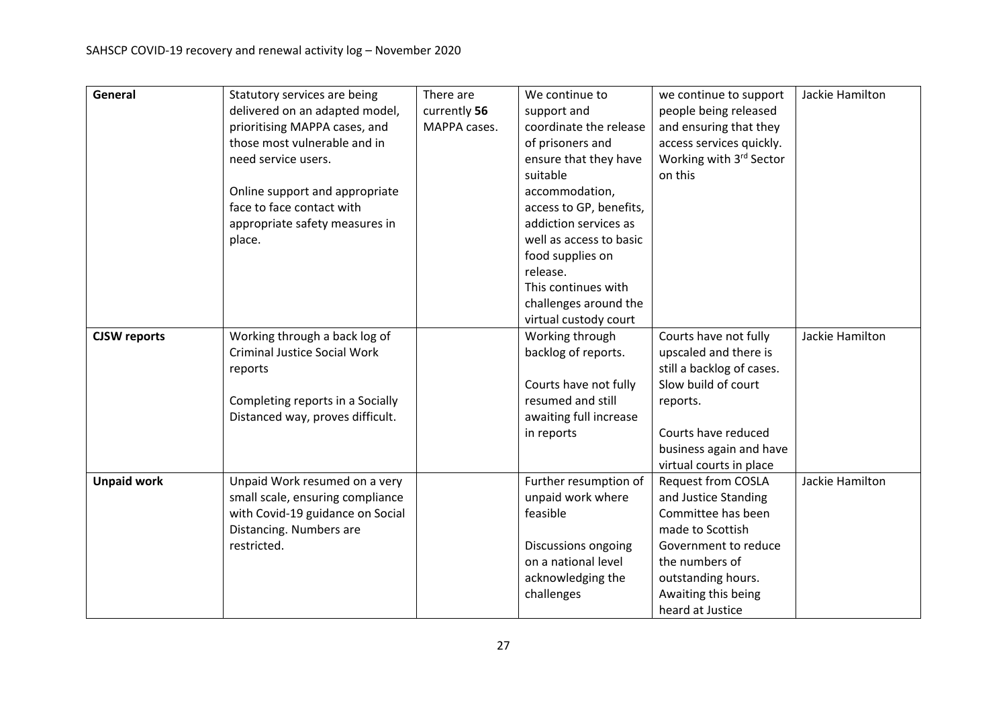| General             | Statutory services are being        | There are    | We continue to          | we continue to support    | Jackie Hamilton |
|---------------------|-------------------------------------|--------------|-------------------------|---------------------------|-----------------|
|                     | delivered on an adapted model,      | currently 56 | support and             | people being released     |                 |
|                     | prioritising MAPPA cases, and       | MAPPA cases. | coordinate the release  | and ensuring that they    |                 |
|                     | those most vulnerable and in        |              | of prisoners and        | access services quickly.  |                 |
|                     | need service users.                 |              | ensure that they have   | Working with 3rd Sector   |                 |
|                     |                                     |              | suitable                | on this                   |                 |
|                     | Online support and appropriate      |              | accommodation,          |                           |                 |
|                     | face to face contact with           |              | access to GP, benefits, |                           |                 |
|                     | appropriate safety measures in      |              | addiction services as   |                           |                 |
|                     | place.                              |              | well as access to basic |                           |                 |
|                     |                                     |              | food supplies on        |                           |                 |
|                     |                                     |              | release.                |                           |                 |
|                     |                                     |              | This continues with     |                           |                 |
|                     |                                     |              | challenges around the   |                           |                 |
|                     |                                     |              | virtual custody court   |                           |                 |
| <b>CJSW</b> reports | Working through a back log of       |              | Working through         | Courts have not fully     | Jackie Hamilton |
|                     | <b>Criminal Justice Social Work</b> |              | backlog of reports.     | upscaled and there is     |                 |
|                     | reports                             |              |                         | still a backlog of cases. |                 |
|                     |                                     |              | Courts have not fully   | Slow build of court       |                 |
|                     | Completing reports in a Socially    |              | resumed and still       | reports.                  |                 |
|                     | Distanced way, proves difficult.    |              | awaiting full increase  |                           |                 |
|                     |                                     |              | in reports              | Courts have reduced       |                 |
|                     |                                     |              |                         | business again and have   |                 |
|                     |                                     |              |                         | virtual courts in place   |                 |
| <b>Unpaid work</b>  | Unpaid Work resumed on a very       |              | Further resumption of   | <b>Request from COSLA</b> | Jackie Hamilton |
|                     | small scale, ensuring compliance    |              | unpaid work where       | and Justice Standing      |                 |
|                     | with Covid-19 guidance on Social    |              | feasible                | Committee has been        |                 |
|                     | Distancing. Numbers are             |              |                         | made to Scottish          |                 |
|                     | restricted.                         |              | Discussions ongoing     | Government to reduce      |                 |
|                     |                                     |              | on a national level     | the numbers of            |                 |
|                     |                                     |              | acknowledging the       | outstanding hours.        |                 |
|                     |                                     |              | challenges              | Awaiting this being       |                 |
|                     |                                     |              |                         | heard at Justice          |                 |